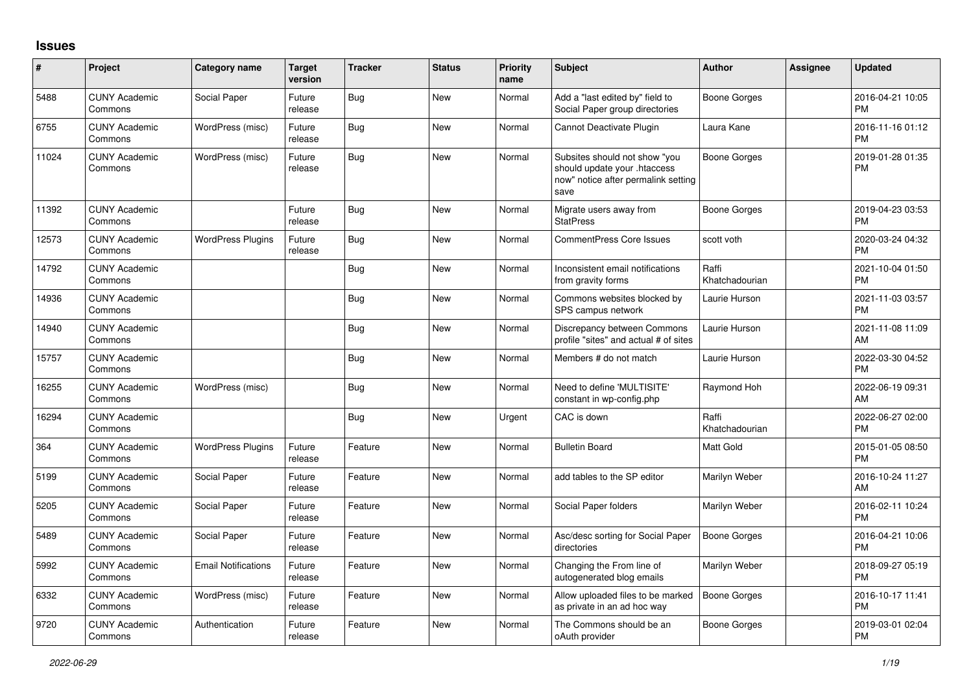## **Issues**

| #     | Project                         | <b>Category name</b>       | <b>Target</b><br>version | <b>Tracker</b> | <b>Status</b> | <b>Priority</b><br>name | <b>Subject</b>                                                                                               | <b>Author</b>           | <b>Assignee</b> | <b>Updated</b>                |
|-------|---------------------------------|----------------------------|--------------------------|----------------|---------------|-------------------------|--------------------------------------------------------------------------------------------------------------|-------------------------|-----------------|-------------------------------|
| 5488  | <b>CUNY Academic</b><br>Commons | Social Paper               | Future<br>release        | Bug            | <b>New</b>    | Normal                  | Add a "last edited by" field to<br>Social Paper group directories                                            | Boone Gorges            |                 | 2016-04-21 10:05<br><b>PM</b> |
| 6755  | <b>CUNY Academic</b><br>Commons | WordPress (misc)           | Future<br>release        | <b>Bug</b>     | <b>New</b>    | Normal                  | Cannot Deactivate Plugin                                                                                     | Laura Kane              |                 | 2016-11-16 01:12<br><b>PM</b> |
| 11024 | <b>CUNY Academic</b><br>Commons | WordPress (misc)           | Future<br>release        | <b>Bug</b>     | <b>New</b>    | Normal                  | Subsites should not show "you<br>should update your .htaccess<br>now" notice after permalink setting<br>save | <b>Boone Gorges</b>     |                 | 2019-01-28 01:35<br><b>PM</b> |
| 11392 | <b>CUNY Academic</b><br>Commons |                            | Future<br>release        | <b>Bug</b>     | <b>New</b>    | Normal                  | Migrate users away from<br><b>StatPress</b>                                                                  | <b>Boone Gorges</b>     |                 | 2019-04-23 03:53<br><b>PM</b> |
| 12573 | <b>CUNY Academic</b><br>Commons | <b>WordPress Plugins</b>   | Future<br>release        | <b>Bug</b>     | New           | Normal                  | CommentPress Core Issues                                                                                     | scott voth              |                 | 2020-03-24 04:32<br><b>PM</b> |
| 14792 | <b>CUNY Academic</b><br>Commons |                            |                          | <b>Bug</b>     | <b>New</b>    | Normal                  | Inconsistent email notifications<br>from gravity forms                                                       | Raffi<br>Khatchadourian |                 | 2021-10-04 01:50<br><b>PM</b> |
| 14936 | <b>CUNY Academic</b><br>Commons |                            |                          | Bug            | <b>New</b>    | Normal                  | Commons websites blocked by<br>SPS campus network                                                            | Laurie Hurson           |                 | 2021-11-03 03:57<br><b>PM</b> |
| 14940 | <b>CUNY Academic</b><br>Commons |                            |                          | Bug            | <b>New</b>    | Normal                  | Discrepancy between Commons<br>profile "sites" and actual # of sites                                         | Laurie Hurson           |                 | 2021-11-08 11:09<br>AM        |
| 15757 | <b>CUNY Academic</b><br>Commons |                            |                          | <b>Bug</b>     | <b>New</b>    | Normal                  | Members # do not match                                                                                       | Laurie Hurson           |                 | 2022-03-30 04:52<br><b>PM</b> |
| 16255 | <b>CUNY Academic</b><br>Commons | WordPress (misc)           |                          | <b>Bug</b>     | <b>New</b>    | Normal                  | Need to define 'MULTISITE'<br>constant in wp-config.php                                                      | Raymond Hoh             |                 | 2022-06-19 09:31<br>AM        |
| 16294 | <b>CUNY Academic</b><br>Commons |                            |                          | <b>Bug</b>     | <b>New</b>    | Urgent                  | CAC is down                                                                                                  | Raffi<br>Khatchadourian |                 | 2022-06-27 02:00<br><b>PM</b> |
| 364   | <b>CUNY Academic</b><br>Commons | <b>WordPress Plugins</b>   | Future<br>release        | Feature        | <b>New</b>    | Normal                  | <b>Bulletin Board</b>                                                                                        | Matt Gold               |                 | 2015-01-05 08:50<br><b>PM</b> |
| 5199  | <b>CUNY Academic</b><br>Commons | Social Paper               | Future<br>release        | Feature        | <b>New</b>    | Normal                  | add tables to the SP editor                                                                                  | Marilyn Weber           |                 | 2016-10-24 11:27<br>AM        |
| 5205  | <b>CUNY Academic</b><br>Commons | Social Paper               | Future<br>release        | Feature        | <b>New</b>    | Normal                  | Social Paper folders                                                                                         | Marilyn Weber           |                 | 2016-02-11 10:24<br><b>PM</b> |
| 5489  | <b>CUNY Academic</b><br>Commons | Social Paper               | Future<br>release        | Feature        | <b>New</b>    | Normal                  | Asc/desc sorting for Social Paper<br>directories                                                             | <b>Boone Gorges</b>     |                 | 2016-04-21 10:06<br><b>PM</b> |
| 5992  | <b>CUNY Academic</b><br>Commons | <b>Email Notifications</b> | Future<br>release        | Feature        | <b>New</b>    | Normal                  | Changing the From line of<br>autogenerated blog emails                                                       | Marilyn Weber           |                 | 2018-09-27 05:19<br><b>PM</b> |
| 6332  | <b>CUNY Academic</b><br>Commons | WordPress (misc)           | Future<br>release        | Feature        | <b>New</b>    | Normal                  | Allow uploaded files to be marked<br>as private in an ad hoc way                                             | <b>Boone Gorges</b>     |                 | 2016-10-17 11:41<br><b>PM</b> |
| 9720  | <b>CUNY Academic</b><br>Commons | Authentication             | Future<br>release        | Feature        | <b>New</b>    | Normal                  | The Commons should be an<br>oAuth provider                                                                   | Boone Gorges            |                 | 2019-03-01 02:04<br><b>PM</b> |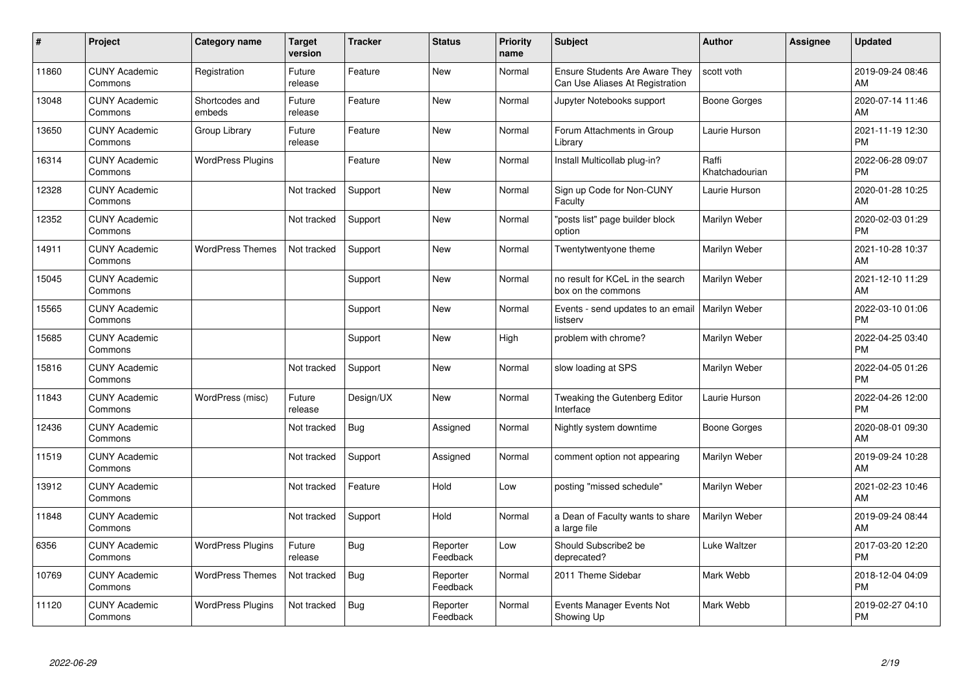| $\pmb{\#}$ | Project                         | Category name            | Target<br>version | <b>Tracker</b> | <b>Status</b>        | <b>Priority</b><br>name | <b>Subject</b>                                                           | <b>Author</b>           | Assignee | <b>Updated</b>                |
|------------|---------------------------------|--------------------------|-------------------|----------------|----------------------|-------------------------|--------------------------------------------------------------------------|-------------------------|----------|-------------------------------|
| 11860      | <b>CUNY Academic</b><br>Commons | Registration             | Future<br>release | Feature        | <b>New</b>           | Normal                  | <b>Ensure Students Are Aware They</b><br>Can Use Aliases At Registration | scott voth              |          | 2019-09-24 08:46<br>AM        |
| 13048      | <b>CUNY Academic</b><br>Commons | Shortcodes and<br>embeds | Future<br>release | Feature        | <b>New</b>           | Normal                  | Jupyter Notebooks support                                                | Boone Gorges            |          | 2020-07-14 11:46<br>AM        |
| 13650      | <b>CUNY Academic</b><br>Commons | Group Library            | Future<br>release | Feature        | <b>New</b>           | Normal                  | Forum Attachments in Group<br>Library                                    | Laurie Hurson           |          | 2021-11-19 12:30<br><b>PM</b> |
| 16314      | <b>CUNY Academic</b><br>Commons | <b>WordPress Plugins</b> |                   | Feature        | <b>New</b>           | Normal                  | Install Multicollab plug-in?                                             | Raffi<br>Khatchadourian |          | 2022-06-28 09:07<br><b>PM</b> |
| 12328      | <b>CUNY Academic</b><br>Commons |                          | Not tracked       | Support        | <b>New</b>           | Normal                  | Sign up Code for Non-CUNY<br>Faculty                                     | Laurie Hurson           |          | 2020-01-28 10:25<br>AM        |
| 12352      | <b>CUNY Academic</b><br>Commons |                          | Not tracked       | Support        | <b>New</b>           | Normal                  | "posts list" page builder block<br>option                                | Marilyn Weber           |          | 2020-02-03 01:29<br><b>PM</b> |
| 14911      | <b>CUNY Academic</b><br>Commons | <b>WordPress Themes</b>  | Not tracked       | Support        | <b>New</b>           | Normal                  | Twentytwentyone theme                                                    | Marilyn Weber           |          | 2021-10-28 10:37<br>AM        |
| 15045      | <b>CUNY Academic</b><br>Commons |                          |                   | Support        | <b>New</b>           | Normal                  | no result for KCeL in the search<br>box on the commons                   | Marilyn Weber           |          | 2021-12-10 11:29<br>AM        |
| 15565      | <b>CUNY Academic</b><br>Commons |                          |                   | Support        | <b>New</b>           | Normal                  | Events - send updates to an email   Marilyn Weber<br>listserv            |                         |          | 2022-03-10 01:06<br><b>PM</b> |
| 15685      | <b>CUNY Academic</b><br>Commons |                          |                   | Support        | <b>New</b>           | High                    | problem with chrome?                                                     | Marilyn Weber           |          | 2022-04-25 03:40<br><b>PM</b> |
| 15816      | <b>CUNY Academic</b><br>Commons |                          | Not tracked       | Support        | <b>New</b>           | Normal                  | slow loading at SPS                                                      | Marilyn Weber           |          | 2022-04-05 01:26<br><b>PM</b> |
| 11843      | <b>CUNY Academic</b><br>Commons | WordPress (misc)         | Future<br>release | Design/UX      | <b>New</b>           | Normal                  | Tweaking the Gutenberg Editor<br>Interface                               | Laurie Hurson           |          | 2022-04-26 12:00<br><b>PM</b> |
| 12436      | <b>CUNY Academic</b><br>Commons |                          | Not tracked       | Bug            | Assigned             | Normal                  | Nightly system downtime                                                  | <b>Boone Gorges</b>     |          | 2020-08-01 09:30<br>AM        |
| 11519      | <b>CUNY Academic</b><br>Commons |                          | Not tracked       | Support        | Assigned             | Normal                  | comment option not appearing                                             | Marilyn Weber           |          | 2019-09-24 10:28<br>AM        |
| 13912      | <b>CUNY Academic</b><br>Commons |                          | Not tracked       | Feature        | Hold                 | Low                     | posting "missed schedule"                                                | Marilyn Weber           |          | 2021-02-23 10:46<br>AM        |
| 11848      | <b>CUNY Academic</b><br>Commons |                          | Not tracked       | Support        | Hold                 | Normal                  | a Dean of Faculty wants to share<br>a large file                         | Marilyn Weber           |          | 2019-09-24 08:44<br>AM        |
| 6356       | <b>CUNY Academic</b><br>Commons | <b>WordPress Plugins</b> | Future<br>release | <b>Bug</b>     | Reporter<br>Feedback | Low                     | Should Subscribe2 be<br>deprecated?                                      | <b>Luke Waltzer</b>     |          | 2017-03-20 12:20<br><b>PM</b> |
| 10769      | <b>CUNY Academic</b><br>Commons | <b>WordPress Themes</b>  | Not tracked       | Bug            | Reporter<br>Feedback | Normal                  | 2011 Theme Sidebar                                                       | Mark Webb               |          | 2018-12-04 04:09<br><b>PM</b> |
| 11120      | <b>CUNY Academic</b><br>Commons | <b>WordPress Plugins</b> | Not tracked       | <b>Bug</b>     | Reporter<br>Feedback | Normal                  | Events Manager Events Not<br>Showing Up                                  | Mark Webb               |          | 2019-02-27 04:10<br><b>PM</b> |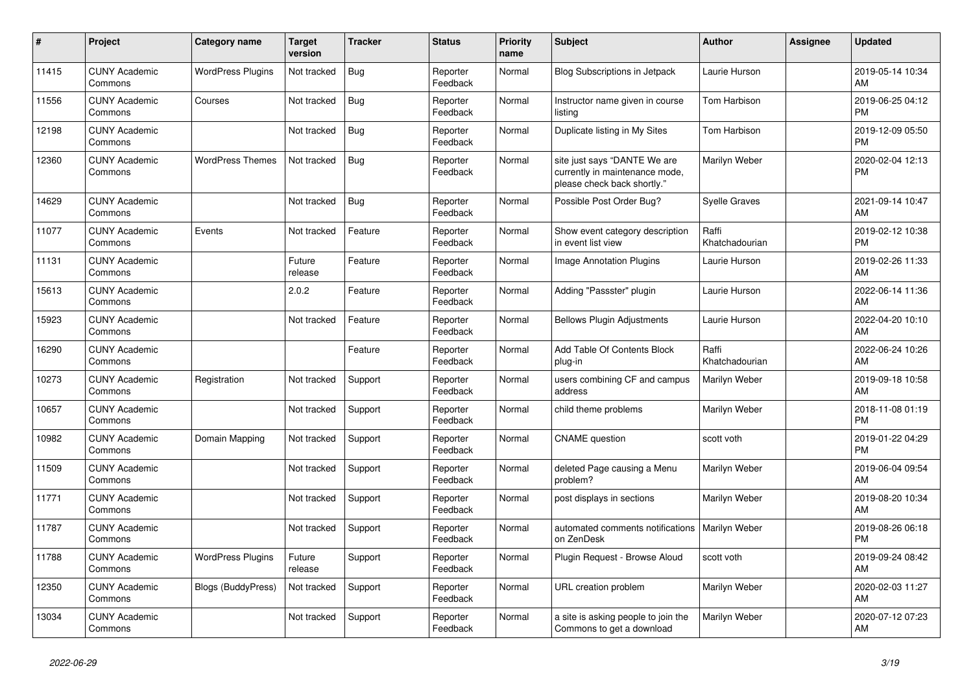| #     | Project                         | Category name            | <b>Target</b><br>version | <b>Tracker</b> | <b>Status</b>        | <b>Priority</b><br>name | <b>Subject</b>                                                                                | Author                  | <b>Assignee</b> | <b>Updated</b>                |
|-------|---------------------------------|--------------------------|--------------------------|----------------|----------------------|-------------------------|-----------------------------------------------------------------------------------------------|-------------------------|-----------------|-------------------------------|
| 11415 | <b>CUNY Academic</b><br>Commons | <b>WordPress Plugins</b> | Not tracked              | <b>Bug</b>     | Reporter<br>Feedback | Normal                  | <b>Blog Subscriptions in Jetpack</b>                                                          | Laurie Hurson           |                 | 2019-05-14 10:34<br>AM        |
| 11556 | <b>CUNY Academic</b><br>Commons | Courses                  | Not tracked              | Bug            | Reporter<br>Feedback | Normal                  | Instructor name given in course<br>listing                                                    | <b>Tom Harbison</b>     |                 | 2019-06-25 04:12<br><b>PM</b> |
| 12198 | <b>CUNY Academic</b><br>Commons |                          | Not tracked              | Bug            | Reporter<br>Feedback | Normal                  | Duplicate listing in My Sites                                                                 | Tom Harbison            |                 | 2019-12-09 05:50<br><b>PM</b> |
| 12360 | <b>CUNY Academic</b><br>Commons | <b>WordPress Themes</b>  | Not tracked              | <b>Bug</b>     | Reporter<br>Feedback | Normal                  | site just says "DANTE We are<br>currently in maintenance mode,<br>please check back shortly." | Marilyn Weber           |                 | 2020-02-04 12:13<br><b>PM</b> |
| 14629 | <b>CUNY Academic</b><br>Commons |                          | Not tracked              | Bug            | Reporter<br>Feedback | Normal                  | Possible Post Order Bug?                                                                      | Syelle Graves           |                 | 2021-09-14 10:47<br>AM        |
| 11077 | <b>CUNY Academic</b><br>Commons | Events                   | Not tracked              | Feature        | Reporter<br>Feedback | Normal                  | Show event category description<br>in event list view                                         | Raffi<br>Khatchadourian |                 | 2019-02-12 10:38<br><b>PM</b> |
| 11131 | <b>CUNY Academic</b><br>Commons |                          | Future<br>release        | Feature        | Reporter<br>Feedback | Normal                  | Image Annotation Plugins                                                                      | Laurie Hurson           |                 | 2019-02-26 11:33<br>AM        |
| 15613 | <b>CUNY Academic</b><br>Commons |                          | 2.0.2                    | Feature        | Reporter<br>Feedback | Normal                  | Adding "Passster" plugin                                                                      | Laurie Hurson           |                 | 2022-06-14 11:36<br>AM        |
| 15923 | <b>CUNY Academic</b><br>Commons |                          | Not tracked              | Feature        | Reporter<br>Feedback | Normal                  | <b>Bellows Plugin Adjustments</b>                                                             | Laurie Hurson           |                 | 2022-04-20 10:10<br>AM        |
| 16290 | <b>CUNY Academic</b><br>Commons |                          |                          | Feature        | Reporter<br>Feedback | Normal                  | Add Table Of Contents Block<br>plug-in                                                        | Raffi<br>Khatchadourian |                 | 2022-06-24 10:26<br>AM        |
| 10273 | <b>CUNY Academic</b><br>Commons | Registration             | Not tracked              | Support        | Reporter<br>Feedback | Normal                  | users combining CF and campus<br>address                                                      | Marilyn Weber           |                 | 2019-09-18 10:58<br>AM        |
| 10657 | <b>CUNY Academic</b><br>Commons |                          | Not tracked              | Support        | Reporter<br>Feedback | Normal                  | child theme problems                                                                          | Marilyn Weber           |                 | 2018-11-08 01:19<br><b>PM</b> |
| 10982 | <b>CUNY Academic</b><br>Commons | Domain Mapping           | Not tracked              | Support        | Reporter<br>Feedback | Normal                  | <b>CNAME</b> question                                                                         | scott voth              |                 | 2019-01-22 04:29<br><b>PM</b> |
| 11509 | <b>CUNY Academic</b><br>Commons |                          | Not tracked              | Support        | Reporter<br>Feedback | Normal                  | deleted Page causing a Menu<br>problem?                                                       | Marilyn Weber           |                 | 2019-06-04 09:54<br>AM        |
| 11771 | <b>CUNY Academic</b><br>Commons |                          | Not tracked              | Support        | Reporter<br>Feedback | Normal                  | post displays in sections                                                                     | Marilyn Weber           |                 | 2019-08-20 10:34<br>AM        |
| 11787 | <b>CUNY Academic</b><br>Commons |                          | Not tracked              | Support        | Reporter<br>Feedback | Normal                  | automated comments notifications<br>on ZenDesk                                                | Marilyn Weber           |                 | 2019-08-26 06:18<br><b>PM</b> |
| 11788 | <b>CUNY Academic</b><br>Commons | <b>WordPress Plugins</b> | Future<br>release        | Support        | Reporter<br>Feedback | Normal                  | Plugin Request - Browse Aloud                                                                 | scott voth              |                 | 2019-09-24 08:42<br>AM        |
| 12350 | <b>CUNY Academic</b><br>Commons | Blogs (BuddyPress)       | Not tracked              | Support        | Reporter<br>Feedback | Normal                  | URL creation problem                                                                          | Marilyn Weber           |                 | 2020-02-03 11:27<br>AM        |
| 13034 | <b>CUNY Academic</b><br>Commons |                          | Not tracked              | Support        | Reporter<br>Feedback | Normal                  | a site is asking people to join the<br>Commons to get a download                              | Marilyn Weber           |                 | 2020-07-12 07:23<br>AM        |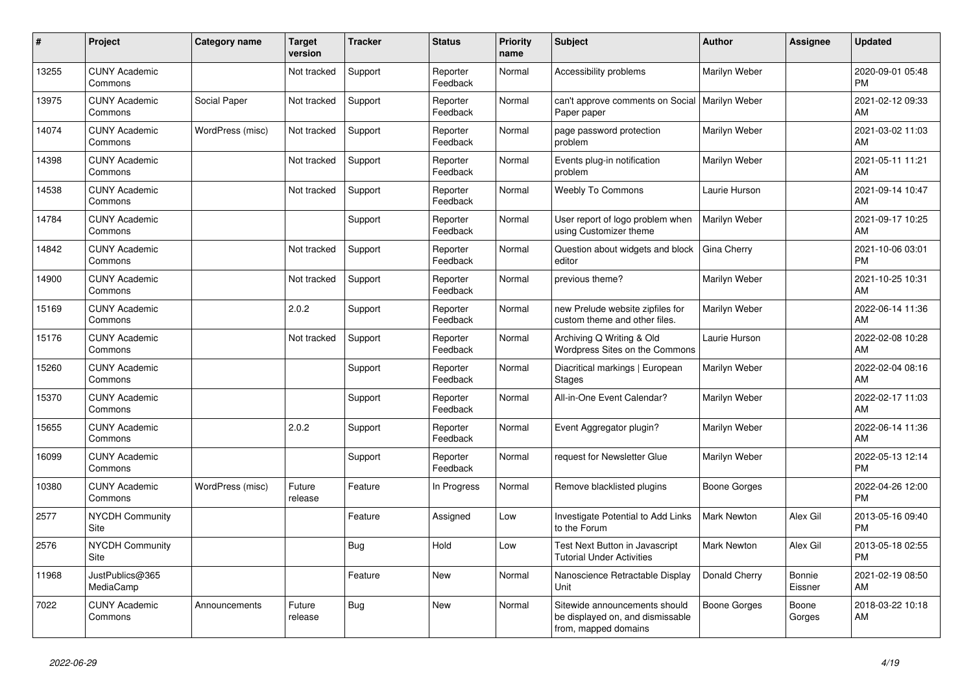| #     | <b>Project</b>                        | Category name    | <b>Target</b><br>version | <b>Tracker</b> | <b>Status</b>        | <b>Priority</b><br>name | <b>Subject</b>                                                                            | <b>Author</b>       | <b>Assignee</b>   | <b>Updated</b>                |
|-------|---------------------------------------|------------------|--------------------------|----------------|----------------------|-------------------------|-------------------------------------------------------------------------------------------|---------------------|-------------------|-------------------------------|
| 13255 | <b>CUNY Academic</b><br>Commons       |                  | Not tracked              | Support        | Reporter<br>Feedback | Normal                  | Accessibility problems                                                                    | Marilyn Weber       |                   | 2020-09-01 05:48<br><b>PM</b> |
| 13975 | <b>CUNY Academic</b><br>Commons       | Social Paper     | Not tracked              | Support        | Reporter<br>Feedback | Normal                  | can't approve comments on Social<br>Paper paper                                           | Marilyn Weber       |                   | 2021-02-12 09:33<br>AM        |
| 14074 | <b>CUNY Academic</b><br>Commons       | WordPress (misc) | Not tracked              | Support        | Reporter<br>Feedback | Normal                  | page password protection<br>problem                                                       | Marilyn Weber       |                   | 2021-03-02 11:03<br>AM        |
| 14398 | <b>CUNY Academic</b><br>Commons       |                  | Not tracked              | Support        | Reporter<br>Feedback | Normal                  | Events plug-in notification<br>problem                                                    | Marilyn Weber       |                   | 2021-05-11 11:21<br>AM        |
| 14538 | <b>CUNY Academic</b><br>Commons       |                  | Not tracked              | Support        | Reporter<br>Feedback | Normal                  | <b>Weebly To Commons</b>                                                                  | Laurie Hurson       |                   | 2021-09-14 10:47<br>AM        |
| 14784 | <b>CUNY Academic</b><br>Commons       |                  |                          | Support        | Reporter<br>Feedback | Normal                  | User report of logo problem when<br>using Customizer theme                                | Marilyn Weber       |                   | 2021-09-17 10:25<br>AM        |
| 14842 | <b>CUNY Academic</b><br>Commons       |                  | Not tracked              | Support        | Reporter<br>Feedback | Normal                  | Question about widgets and block<br>editor                                                | Gina Cherry         |                   | 2021-10-06 03:01<br><b>PM</b> |
| 14900 | <b>CUNY Academic</b><br>Commons       |                  | Not tracked              | Support        | Reporter<br>Feedback | Normal                  | previous theme?                                                                           | Marilyn Weber       |                   | 2021-10-25 10:31<br>AM        |
| 15169 | <b>CUNY Academic</b><br>Commons       |                  | 2.0.2                    | Support        | Reporter<br>Feedback | Normal                  | new Prelude website zipfiles for<br>custom theme and other files.                         | Marilyn Weber       |                   | 2022-06-14 11:36<br>AM        |
| 15176 | <b>CUNY Academic</b><br>Commons       |                  | Not tracked              | Support        | Reporter<br>Feedback | Normal                  | Archiving Q Writing & Old<br>Wordpress Sites on the Commons                               | Laurie Hurson       |                   | 2022-02-08 10:28<br>AM        |
| 15260 | <b>CUNY Academic</b><br>Commons       |                  |                          | Support        | Reporter<br>Feedback | Normal                  | Diacritical markings   European<br>Stages                                                 | Marilyn Weber       |                   | 2022-02-04 08:16<br>AM        |
| 15370 | <b>CUNY Academic</b><br>Commons       |                  |                          | Support        | Reporter<br>Feedback | Normal                  | All-in-One Event Calendar?                                                                | Marilyn Weber       |                   | 2022-02-17 11:03<br>AM        |
| 15655 | <b>CUNY Academic</b><br>Commons       |                  | 2.0.2                    | Support        | Reporter<br>Feedback | Normal                  | Event Aggregator plugin?                                                                  | Marilyn Weber       |                   | 2022-06-14 11:36<br>AM        |
| 16099 | <b>CUNY Academic</b><br>Commons       |                  |                          | Support        | Reporter<br>Feedback | Normal                  | request for Newsletter Glue                                                               | Marilyn Weber       |                   | 2022-05-13 12:14<br><b>PM</b> |
| 10380 | <b>CUNY Academic</b><br>Commons       | WordPress (misc) | Future<br>release        | Feature        | In Progress          | Normal                  | Remove blacklisted plugins                                                                | <b>Boone Gorges</b> |                   | 2022-04-26 12:00<br><b>PM</b> |
| 2577  | <b>NYCDH Community</b><br><b>Site</b> |                  |                          | Feature        | Assigned             | Low                     | Investigate Potential to Add Links<br>to the Forum                                        | <b>Mark Newton</b>  | Alex Gil          | 2013-05-16 09:40<br><b>PM</b> |
| 2576  | <b>NYCDH Community</b><br>Site        |                  |                          | Bug            | Hold                 | Low                     | Test Next Button in Javascript<br><b>Tutorial Under Activities</b>                        | <b>Mark Newton</b>  | Alex Gil          | 2013-05-18 02:55<br><b>PM</b> |
| 11968 | JustPublics@365<br>MediaCamp          |                  |                          | Feature        | <b>New</b>           | Normal                  | Nanoscience Retractable Display<br>Unit                                                   | Donald Cherry       | Bonnie<br>Eissner | 2021-02-19 08:50<br>AM        |
| 7022  | <b>CUNY Academic</b><br>Commons       | Announcements    | Future<br>release        | Bug            | <b>New</b>           | Normal                  | Sitewide announcements should<br>be displayed on, and dismissable<br>from, mapped domains | <b>Boone Gorges</b> | Boone<br>Gorges   | 2018-03-22 10:18<br>AM        |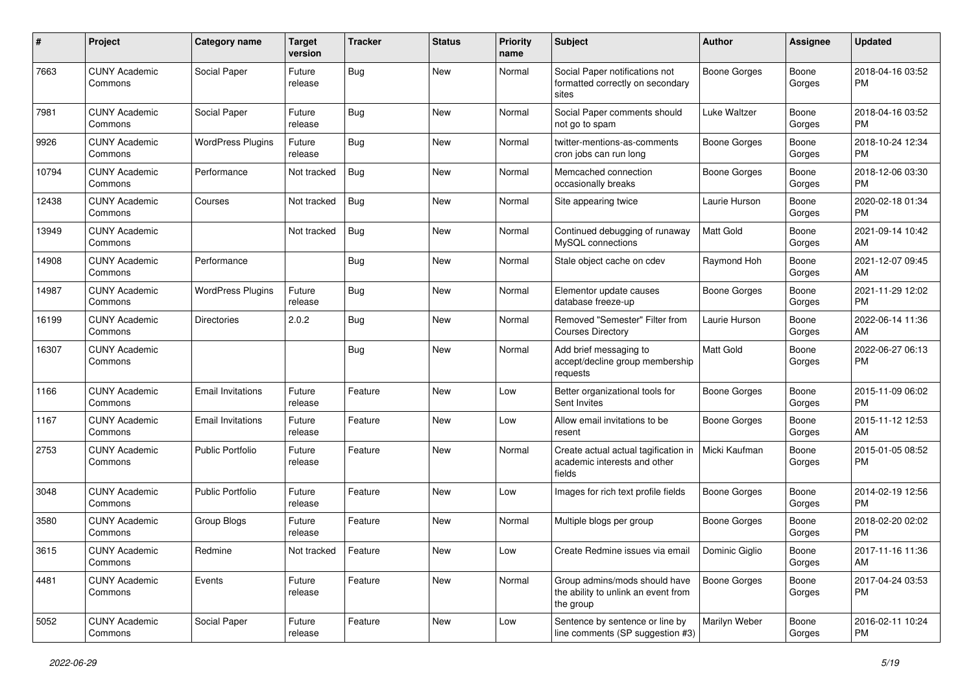| #     | Project                         | Category name            | <b>Target</b><br>version | <b>Tracker</b> | <b>Status</b> | <b>Priority</b><br>name | Subject                                                                           | <b>Author</b>       | <b>Assignee</b> | <b>Updated</b>                |
|-------|---------------------------------|--------------------------|--------------------------|----------------|---------------|-------------------------|-----------------------------------------------------------------------------------|---------------------|-----------------|-------------------------------|
| 7663  | <b>CUNY Academic</b><br>Commons | Social Paper             | Future<br>release        | <b>Bug</b>     | <b>New</b>    | Normal                  | Social Paper notifications not<br>formatted correctly on secondary<br>sites       | <b>Boone Gorges</b> | Boone<br>Gorges | 2018-04-16 03:52<br>PM        |
| 7981  | <b>CUNY Academic</b><br>Commons | Social Paper             | Future<br>release        | Bug            | New           | Normal                  | Social Paper comments should<br>not go to spam                                    | <b>Luke Waltzer</b> | Boone<br>Gorges | 2018-04-16 03:52<br>PM        |
| 9926  | <b>CUNY Academic</b><br>Commons | <b>WordPress Plugins</b> | Future<br>release        | Bug            | New           | Normal                  | twitter-mentions-as-comments<br>cron jobs can run long                            | <b>Boone Gorges</b> | Boone<br>Gorges | 2018-10-24 12:34<br><b>PM</b> |
| 10794 | <b>CUNY Academic</b><br>Commons | Performance              | Not tracked              | <b>Bug</b>     | New           | Normal                  | Memcached connection<br>occasionally breaks                                       | <b>Boone Gorges</b> | Boone<br>Gorges | 2018-12-06 03:30<br><b>PM</b> |
| 12438 | <b>CUNY Academic</b><br>Commons | Courses                  | Not tracked              | Bug            | New           | Normal                  | Site appearing twice                                                              | Laurie Hurson       | Boone<br>Gorges | 2020-02-18 01:34<br>PM        |
| 13949 | <b>CUNY Academic</b><br>Commons |                          | Not tracked              | <b>Bug</b>     | New           | Normal                  | Continued debugging of runaway<br>MySQL connections                               | <b>Matt Gold</b>    | Boone<br>Gorges | 2021-09-14 10:42<br>AM        |
| 14908 | <b>CUNY Academic</b><br>Commons | Performance              |                          | <b>Bug</b>     | <b>New</b>    | Normal                  | Stale object cache on cdev                                                        | Raymond Hoh         | Boone<br>Gorges | 2021-12-07 09:45<br>AM        |
| 14987 | <b>CUNY Academic</b><br>Commons | <b>WordPress Plugins</b> | Future<br>release        | <b>Bug</b>     | New           | Normal                  | Elementor update causes<br>database freeze-up                                     | <b>Boone Gorges</b> | Boone<br>Gorges | 2021-11-29 12:02<br>PM        |
| 16199 | <b>CUNY Academic</b><br>Commons | Directories              | 2.0.2                    | <b>Bug</b>     | <b>New</b>    | Normal                  | Removed "Semester" Filter from<br><b>Courses Directory</b>                        | Laurie Hurson       | Boone<br>Gorges | 2022-06-14 11:36<br>AM        |
| 16307 | <b>CUNY Academic</b><br>Commons |                          |                          | Bug            | New           | Normal                  | Add brief messaging to<br>accept/decline group membership<br>requests             | <b>Matt Gold</b>    | Boone<br>Gorges | 2022-06-27 06:13<br>PM        |
| 1166  | <b>CUNY Academic</b><br>Commons | <b>Email Invitations</b> | Future<br>release        | Feature        | New           | Low                     | Better organizational tools for<br>Sent Invites                                   | <b>Boone Gorges</b> | Boone<br>Gorges | 2015-11-09 06:02<br>PM        |
| 1167  | <b>CUNY Academic</b><br>Commons | <b>Email Invitations</b> | Future<br>release        | Feature        | <b>New</b>    | Low                     | Allow email invitations to be<br>resent                                           | <b>Boone Gorges</b> | Boone<br>Gorges | 2015-11-12 12:53<br>AM        |
| 2753  | <b>CUNY Academic</b><br>Commons | <b>Public Portfolio</b>  | Future<br>release        | Feature        | <b>New</b>    | Normal                  | Create actual actual tagification in<br>academic interests and other<br>fields    | Micki Kaufman       | Boone<br>Gorges | 2015-01-05 08:52<br>PM        |
| 3048  | <b>CUNY Academic</b><br>Commons | <b>Public Portfolio</b>  | Future<br>release        | Feature        | <b>New</b>    | Low                     | Images for rich text profile fields                                               | <b>Boone Gorges</b> | Boone<br>Gorges | 2014-02-19 12:56<br>PM        |
| 3580  | <b>CUNY Academic</b><br>Commons | Group Blogs              | Future<br>release        | Feature        | <b>New</b>    | Normal                  | Multiple blogs per group                                                          | Boone Gorges        | Boone<br>Gorges | 2018-02-20 02:02<br><b>PM</b> |
| 3615  | <b>CUNY Academic</b><br>Commons | Redmine                  | Not tracked              | Feature        | New           | Low                     | Create Redmine issues via email                                                   | Dominic Giglio      | Boone<br>Gorges | 2017-11-16 11:36<br>AM        |
| 4481  | <b>CUNY Academic</b><br>Commons | Events                   | Future<br>release        | Feature        | New           | Normal                  | Group admins/mods should have<br>the ability to unlink an event from<br>the group | <b>Boone Gorges</b> | Boone<br>Gorges | 2017-04-24 03:53<br><b>PM</b> |
| 5052  | <b>CUNY Academic</b><br>Commons | Social Paper             | Future<br>release        | Feature        | New           | Low                     | Sentence by sentence or line by<br>line comments (SP suggestion #3)               | Marilyn Weber       | Boone<br>Gorges | 2016-02-11 10:24<br>PM        |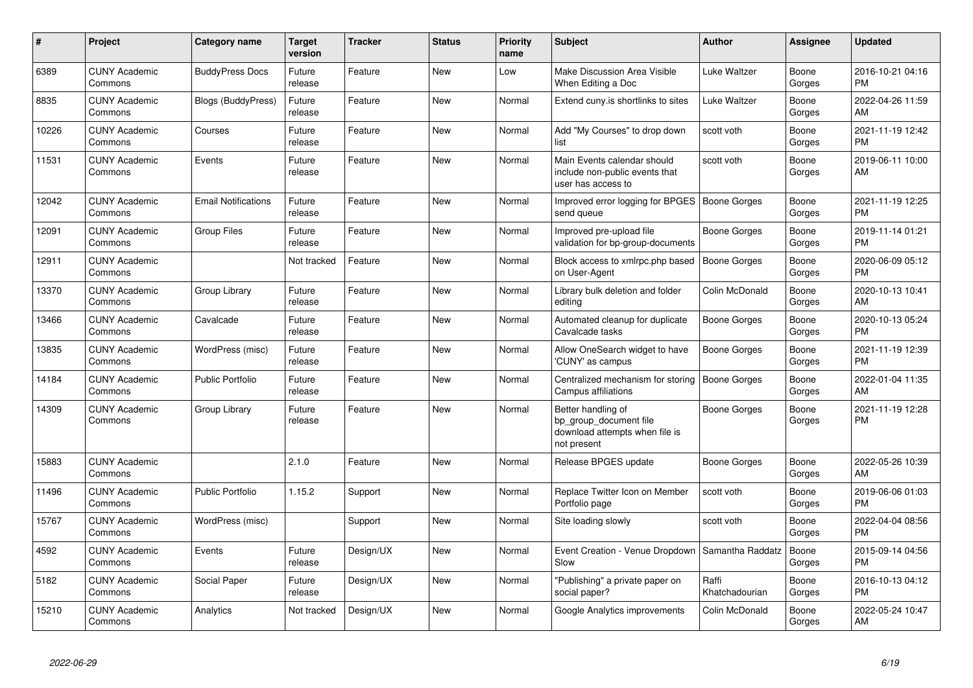| #     | Project                         | Category name              | <b>Target</b><br>version | <b>Tracker</b> | <b>Status</b> | Priority<br>name | <b>Subject</b>                                                                                | <b>Author</b>           | Assignee        | <b>Updated</b>                |
|-------|---------------------------------|----------------------------|--------------------------|----------------|---------------|------------------|-----------------------------------------------------------------------------------------------|-------------------------|-----------------|-------------------------------|
| 6389  | <b>CUNY Academic</b><br>Commons | <b>BuddyPress Docs</b>     | Future<br>release        | Feature        | <b>New</b>    | Low              | Make Discussion Area Visible<br>When Editing a Doc                                            | <b>Luke Waltzer</b>     | Boone<br>Gorges | 2016-10-21 04:16<br><b>PM</b> |
| 8835  | <b>CUNY Academic</b><br>Commons | <b>Blogs (BuddyPress)</b>  | Future<br>release        | Feature        | <b>New</b>    | Normal           | Extend cuny.is shortlinks to sites                                                            | <b>Luke Waltzer</b>     | Boone<br>Gorges | 2022-04-26 11:59<br>AM        |
| 10226 | <b>CUNY Academic</b><br>Commons | Courses                    | Future<br>release        | Feature        | <b>New</b>    | Normal           | Add "My Courses" to drop down<br>list                                                         | scott voth              | Boone<br>Gorges | 2021-11-19 12:42<br><b>PM</b> |
| 11531 | <b>CUNY Academic</b><br>Commons | Events                     | Future<br>release        | Feature        | <b>New</b>    | Normal           | Main Events calendar should<br>include non-public events that<br>user has access to           | scott voth              | Boone<br>Gorges | 2019-06-11 10:00<br>AM        |
| 12042 | <b>CUNY Academic</b><br>Commons | <b>Email Notifications</b> | Future<br>release        | Feature        | <b>New</b>    | Normal           | Improved error logging for BPGES<br>send queue                                                | <b>Boone Gorges</b>     | Boone<br>Gorges | 2021-11-19 12:25<br><b>PM</b> |
| 12091 | <b>CUNY Academic</b><br>Commons | Group Files                | Future<br>release        | Feature        | <b>New</b>    | Normal           | Improved pre-upload file<br>validation for bp-group-documents                                 | <b>Boone Gorges</b>     | Boone<br>Gorges | 2019-11-14 01:21<br><b>PM</b> |
| 12911 | <b>CUNY Academic</b><br>Commons |                            | Not tracked              | Feature        | <b>New</b>    | Normal           | Block access to xmlrpc.php based<br>on User-Agent                                             | Boone Gorges            | Boone<br>Gorges | 2020-06-09 05:12<br><b>PM</b> |
| 13370 | <b>CUNY Academic</b><br>Commons | Group Library              | Future<br>release        | Feature        | <b>New</b>    | Normal           | Library bulk deletion and folder<br>editing                                                   | Colin McDonald          | Boone<br>Gorges | 2020-10-13 10:41<br>AM        |
| 13466 | <b>CUNY Academic</b><br>Commons | Cavalcade                  | Future<br>release        | Feature        | <b>New</b>    | Normal           | Automated cleanup for duplicate<br>Cavalcade tasks                                            | <b>Boone Gorges</b>     | Boone<br>Gorges | 2020-10-13 05:24<br><b>PM</b> |
| 13835 | <b>CUNY Academic</b><br>Commons | WordPress (misc)           | Future<br>release        | Feature        | <b>New</b>    | Normal           | Allow OneSearch widget to have<br>'CUNY' as campus                                            | <b>Boone Gorges</b>     | Boone<br>Gorges | 2021-11-19 12:39<br><b>PM</b> |
| 14184 | <b>CUNY Academic</b><br>Commons | <b>Public Portfolio</b>    | Future<br>release        | Feature        | <b>New</b>    | Normal           | Centralized mechanism for storing<br>Campus affiliations                                      | <b>Boone Gorges</b>     | Boone<br>Gorges | 2022-01-04 11:35<br>AM        |
| 14309 | <b>CUNY Academic</b><br>Commons | Group Library              | Future<br>release        | Feature        | <b>New</b>    | Normal           | Better handling of<br>bp_group_document file<br>download attempts when file is<br>not present | <b>Boone Gorges</b>     | Boone<br>Gorges | 2021-11-19 12:28<br><b>PM</b> |
| 15883 | <b>CUNY Academic</b><br>Commons |                            | 2.1.0                    | Feature        | <b>New</b>    | Normal           | Release BPGES update                                                                          | <b>Boone Gorges</b>     | Boone<br>Gorges | 2022-05-26 10:39<br>AM        |
| 11496 | <b>CUNY Academic</b><br>Commons | <b>Public Portfolio</b>    | 1.15.2                   | Support        | <b>New</b>    | Normal           | Replace Twitter Icon on Member<br>Portfolio page                                              | scott voth              | Boone<br>Gorges | 2019-06-06 01:03<br><b>PM</b> |
| 15767 | <b>CUNY Academic</b><br>Commons | WordPress (misc)           |                          | Support        | <b>New</b>    | Normal           | Site loading slowly                                                                           | scott voth              | Boone<br>Gorges | 2022-04-04 08:56<br><b>PM</b> |
| 4592  | <b>CUNY Academic</b><br>Commons | Events                     | Future<br>release        | Design/UX      | <b>New</b>    | Normal           | Event Creation - Venue Dropdown<br>Slow                                                       | Samantha Raddatz        | Boone<br>Gorges | 2015-09-14 04:56<br><b>PM</b> |
| 5182  | <b>CUNY Academic</b><br>Commons | Social Paper               | Future<br>release        | Design/UX      | New           | Normal           | "Publishing" a private paper on<br>social paper?                                              | Raffi<br>Khatchadourian | Boone<br>Gorges | 2016-10-13 04:12<br><b>PM</b> |
| 15210 | <b>CUNY Academic</b><br>Commons | Analytics                  | Not tracked              | Design/UX      | New           | Normal           | Google Analytics improvements                                                                 | Colin McDonald          | Boone<br>Gorges | 2022-05-24 10:47<br>AM        |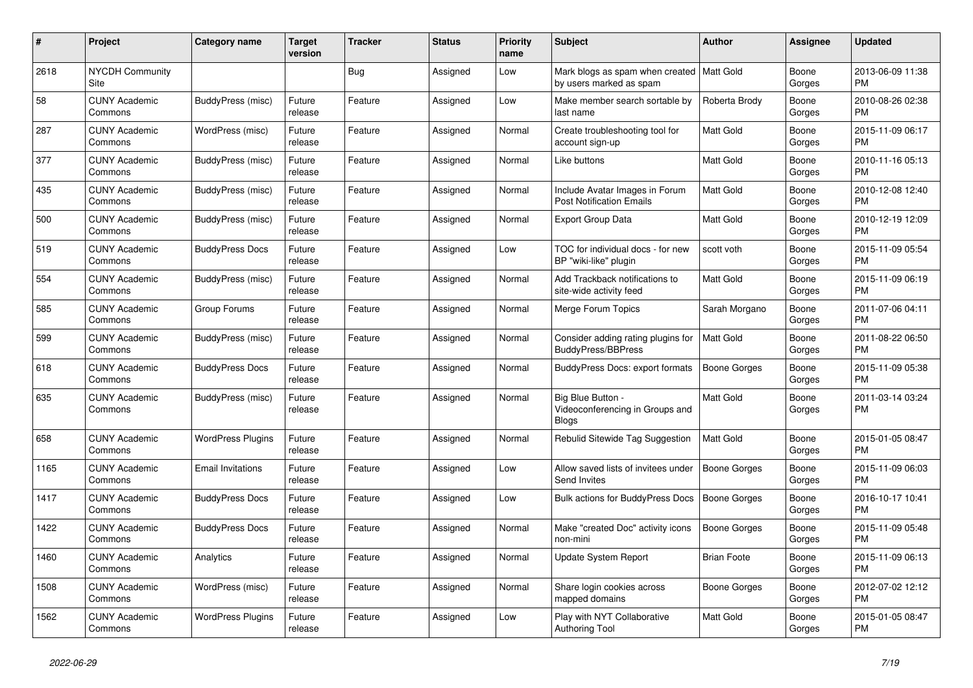| #    | <b>Project</b>                  | Category name            | Target<br>version | <b>Tracker</b> | <b>Status</b> | <b>Priority</b><br>name | <b>Subject</b>                                                         | <b>Author</b>       | Assignee        | <b>Updated</b>                |
|------|---------------------------------|--------------------------|-------------------|----------------|---------------|-------------------------|------------------------------------------------------------------------|---------------------|-----------------|-------------------------------|
| 2618 | <b>NYCDH Community</b><br>Site  |                          |                   | <b>Bug</b>     | Assigned      | Low                     | Mark blogs as spam when created   Matt Gold<br>by users marked as spam |                     | Boone<br>Gorges | 2013-06-09 11:38<br><b>PM</b> |
| 58   | <b>CUNY Academic</b><br>Commons | BuddyPress (misc)        | Future<br>release | Feature        | Assigned      | Low                     | Make member search sortable by<br>last name                            | Roberta Brody       | Boone<br>Gorges | 2010-08-26 02:38<br><b>PM</b> |
| 287  | <b>CUNY Academic</b><br>Commons | WordPress (misc)         | Future<br>release | Feature        | Assigned      | Normal                  | Create troubleshooting tool for<br>account sign-up                     | <b>Matt Gold</b>    | Boone<br>Gorges | 2015-11-09 06:17<br><b>PM</b> |
| 377  | <b>CUNY Academic</b><br>Commons | BuddyPress (misc)        | Future<br>release | Feature        | Assigned      | Normal                  | Like buttons                                                           | <b>Matt Gold</b>    | Boone<br>Gorges | 2010-11-16 05:13<br><b>PM</b> |
| 435  | <b>CUNY Academic</b><br>Commons | BuddyPress (misc)        | Future<br>release | Feature        | Assigned      | Normal                  | Include Avatar Images in Forum<br><b>Post Notification Emails</b>      | <b>Matt Gold</b>    | Boone<br>Gorges | 2010-12-08 12:40<br><b>PM</b> |
| 500  | <b>CUNY Academic</b><br>Commons | BuddyPress (misc)        | Future<br>release | Feature        | Assigned      | Normal                  | <b>Export Group Data</b>                                               | Matt Gold           | Boone<br>Gorges | 2010-12-19 12:09<br><b>PM</b> |
| 519  | <b>CUNY Academic</b><br>Commons | <b>BuddyPress Docs</b>   | Future<br>release | Feature        | Assigned      | Low                     | TOC for individual docs - for new<br>BP "wiki-like" plugin             | scott voth          | Boone<br>Gorges | 2015-11-09 05:54<br><b>PM</b> |
| 554  | <b>CUNY Academic</b><br>Commons | BuddyPress (misc)        | Future<br>release | Feature        | Assigned      | Normal                  | Add Trackback notifications to<br>site-wide activity feed              | <b>Matt Gold</b>    | Boone<br>Gorges | 2015-11-09 06:19<br>PM        |
| 585  | <b>CUNY Academic</b><br>Commons | Group Forums             | Future<br>release | Feature        | Assigned      | Normal                  | Merge Forum Topics                                                     | Sarah Morgano       | Boone<br>Gorges | 2011-07-06 04:11<br><b>PM</b> |
| 599  | <b>CUNY Academic</b><br>Commons | BuddyPress (misc)        | Future<br>release | Feature        | Assigned      | Normal                  | Consider adding rating plugins for<br>BuddyPress/BBPress               | <b>Matt Gold</b>    | Boone<br>Gorges | 2011-08-22 06:50<br><b>PM</b> |
| 618  | <b>CUNY Academic</b><br>Commons | <b>BuddyPress Docs</b>   | Future<br>release | Feature        | Assigned      | Normal                  | BuddyPress Docs: export formats                                        | <b>Boone Gorges</b> | Boone<br>Gorges | 2015-11-09 05:38<br><b>PM</b> |
| 635  | <b>CUNY Academic</b><br>Commons | BuddyPress (misc)        | Future<br>release | Feature        | Assigned      | Normal                  | Big Blue Button -<br>Videoconferencing in Groups and<br><b>Blogs</b>   | Matt Gold           | Boone<br>Gorges | 2011-03-14 03:24<br><b>PM</b> |
| 658  | <b>CUNY Academic</b><br>Commons | <b>WordPress Plugins</b> | Future<br>release | Feature        | Assigned      | Normal                  | Rebulid Sitewide Tag Suggestion                                        | <b>Matt Gold</b>    | Boone<br>Gorges | 2015-01-05 08:47<br><b>PM</b> |
| 1165 | <b>CUNY Academic</b><br>Commons | <b>Email Invitations</b> | Future<br>release | Feature        | Assigned      | Low                     | Allow saved lists of invitees under<br>Send Invites                    | Boone Gorges        | Boone<br>Gorges | 2015-11-09 06:03<br><b>PM</b> |
| 1417 | <b>CUNY Academic</b><br>Commons | <b>BuddyPress Docs</b>   | Future<br>release | Feature        | Assigned      | Low                     | <b>Bulk actions for BuddyPress Docs</b>                                | <b>Boone Gorges</b> | Boone<br>Gorges | 2016-10-17 10:41<br><b>PM</b> |
| 1422 | <b>CUNY Academic</b><br>Commons | <b>BuddyPress Docs</b>   | Future<br>release | Feature        | Assigned      | Normal                  | Make "created Doc" activity icons<br>non-mini                          | <b>Boone Gorges</b> | Boone<br>Gorges | 2015-11-09 05:48<br><b>PM</b> |
| 1460 | <b>CUNY Academic</b><br>Commons | Analytics                | Future<br>release | Feature        | Assigned      | Normal                  | Update System Report                                                   | <b>Brian Foote</b>  | Boone<br>Gorges | 2015-11-09 06:13<br><b>PM</b> |
| 1508 | <b>CUNY Academic</b><br>Commons | WordPress (misc)         | Future<br>release | Feature        | Assigned      | Normal                  | Share login cookies across<br>mapped domains                           | Boone Gorges        | Boone<br>Gorges | 2012-07-02 12:12<br><b>PM</b> |
| 1562 | <b>CUNY Academic</b><br>Commons | <b>WordPress Plugins</b> | Future<br>release | Feature        | Assigned      | Low                     | Play with NYT Collaborative<br><b>Authoring Tool</b>                   | <b>Matt Gold</b>    | Boone<br>Gorges | 2015-01-05 08:47<br><b>PM</b> |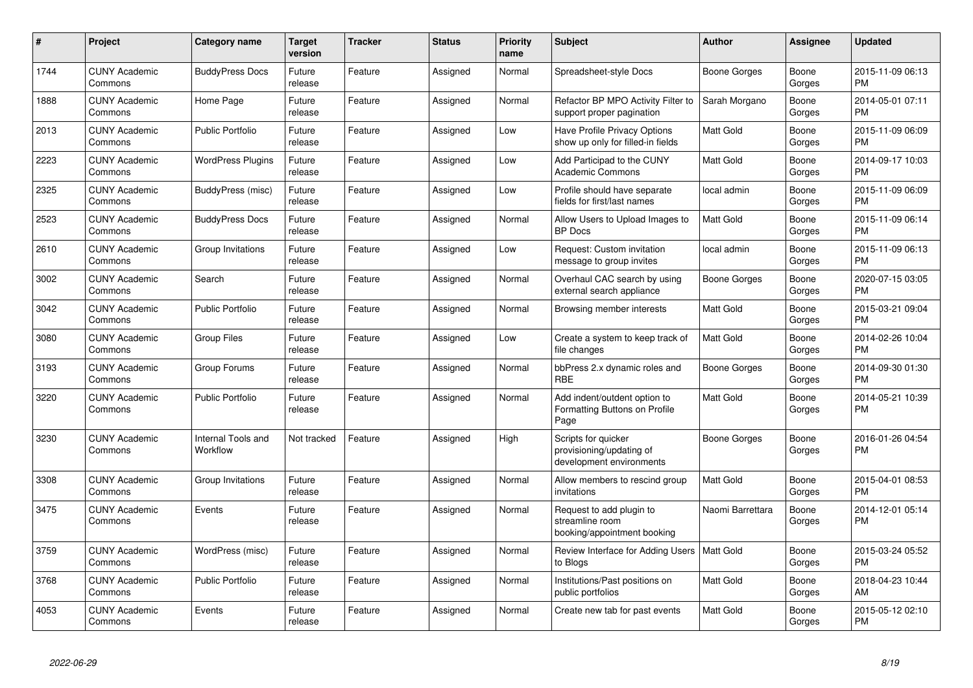| #    | Project                         | Category name                  | Target<br>version | <b>Tracker</b> | <b>Status</b> | <b>Priority</b><br>name | <b>Subject</b>                                                              | <b>Author</b>       | Assignee        | <b>Updated</b>                |
|------|---------------------------------|--------------------------------|-------------------|----------------|---------------|-------------------------|-----------------------------------------------------------------------------|---------------------|-----------------|-------------------------------|
| 1744 | <b>CUNY Academic</b><br>Commons | <b>BuddyPress Docs</b>         | Future<br>release | Feature        | Assigned      | Normal                  | Spreadsheet-style Docs                                                      | <b>Boone Gorges</b> | Boone<br>Gorges | 2015-11-09 06:13<br><b>PM</b> |
| 1888 | <b>CUNY Academic</b><br>Commons | Home Page                      | Future<br>release | Feature        | Assigned      | Normal                  | Refactor BP MPO Activity Filter to<br>support proper pagination             | Sarah Morgano       | Boone<br>Gorges | 2014-05-01 07:11<br><b>PM</b> |
| 2013 | <b>CUNY Academic</b><br>Commons | <b>Public Portfolio</b>        | Future<br>release | Feature        | Assigned      | Low                     | Have Profile Privacy Options<br>show up only for filled-in fields           | Matt Gold           | Boone<br>Gorges | 2015-11-09 06:09<br><b>PM</b> |
| 2223 | <b>CUNY Academic</b><br>Commons | <b>WordPress Plugins</b>       | Future<br>release | Feature        | Assigned      | Low                     | Add Participad to the CUNY<br><b>Academic Commons</b>                       | <b>Matt Gold</b>    | Boone<br>Gorges | 2014-09-17 10:03<br><b>PM</b> |
| 2325 | <b>CUNY Academic</b><br>Commons | BuddyPress (misc)              | Future<br>release | Feature        | Assigned      | Low                     | Profile should have separate<br>fields for first/last names                 | local admin         | Boone<br>Gorges | 2015-11-09 06:09<br><b>PM</b> |
| 2523 | <b>CUNY Academic</b><br>Commons | <b>BuddyPress Docs</b>         | Future<br>release | Feature        | Assigned      | Normal                  | Allow Users to Upload Images to<br><b>BP</b> Docs                           | <b>Matt Gold</b>    | Boone<br>Gorges | 2015-11-09 06:14<br><b>PM</b> |
| 2610 | <b>CUNY Academic</b><br>Commons | Group Invitations              | Future<br>release | Feature        | Assigned      | Low                     | Request: Custom invitation<br>message to group invites                      | local admin         | Boone<br>Gorges | 2015-11-09 06:13<br><b>PM</b> |
| 3002 | <b>CUNY Academic</b><br>Commons | Search                         | Future<br>release | Feature        | Assigned      | Normal                  | Overhaul CAC search by using<br>external search appliance                   | Boone Gorges        | Boone<br>Gorges | 2020-07-15 03:05<br><b>PM</b> |
| 3042 | <b>CUNY Academic</b><br>Commons | <b>Public Portfolio</b>        | Future<br>release | Feature        | Assigned      | Normal                  | Browsing member interests                                                   | <b>Matt Gold</b>    | Boone<br>Gorges | 2015-03-21 09:04<br>PM        |
| 3080 | <b>CUNY Academic</b><br>Commons | Group Files                    | Future<br>release | Feature        | Assigned      | Low                     | Create a system to keep track of<br>file changes                            | Matt Gold           | Boone<br>Gorges | 2014-02-26 10:04<br><b>PM</b> |
| 3193 | <b>CUNY Academic</b><br>Commons | Group Forums                   | Future<br>release | Feature        | Assigned      | Normal                  | bbPress 2.x dynamic roles and<br><b>RBE</b>                                 | <b>Boone Gorges</b> | Boone<br>Gorges | 2014-09-30 01:30<br><b>PM</b> |
| 3220 | <b>CUNY Academic</b><br>Commons | <b>Public Portfolio</b>        | Future<br>release | Feature        | Assigned      | Normal                  | Add indent/outdent option to<br>Formatting Buttons on Profile<br>Page       | <b>Matt Gold</b>    | Boone<br>Gorges | 2014-05-21 10:39<br><b>PM</b> |
| 3230 | <b>CUNY Academic</b><br>Commons | Internal Tools and<br>Workflow | Not tracked       | Feature        | Assigned      | High                    | Scripts for quicker<br>provisioning/updating of<br>development environments | <b>Boone Gorges</b> | Boone<br>Gorges | 2016-01-26 04:54<br><b>PM</b> |
| 3308 | <b>CUNY Academic</b><br>Commons | Group Invitations              | Future<br>release | Feature        | Assigned      | Normal                  | Allow members to rescind group<br>invitations                               | <b>Matt Gold</b>    | Boone<br>Gorges | 2015-04-01 08:53<br><b>PM</b> |
| 3475 | <b>CUNY Academic</b><br>Commons | Events                         | Future<br>release | Feature        | Assigned      | Normal                  | Request to add plugin to<br>streamline room<br>booking/appointment booking  | Naomi Barrettara    | Boone<br>Gorges | 2014-12-01 05:14<br><b>PM</b> |
| 3759 | <b>CUNY Academic</b><br>Commons | WordPress (misc)               | Future<br>release | Feature        | Assigned      | Normal                  | Review Interface for Adding Users   Matt Gold<br>to Blogs                   |                     | Boone<br>Gorges | 2015-03-24 05:52<br><b>PM</b> |
| 3768 | <b>CUNY Academic</b><br>Commons | <b>Public Portfolio</b>        | Future<br>release | Feature        | Assigned      | Normal                  | Institutions/Past positions on<br>public portfolios                         | <b>Matt Gold</b>    | Boone<br>Gorges | 2018-04-23 10:44<br>AM        |
| 4053 | <b>CUNY Academic</b><br>Commons | Events                         | Future<br>release | Feature        | Assigned      | Normal                  | Create new tab for past events                                              | Matt Gold           | Boone<br>Gorges | 2015-05-12 02:10<br><b>PM</b> |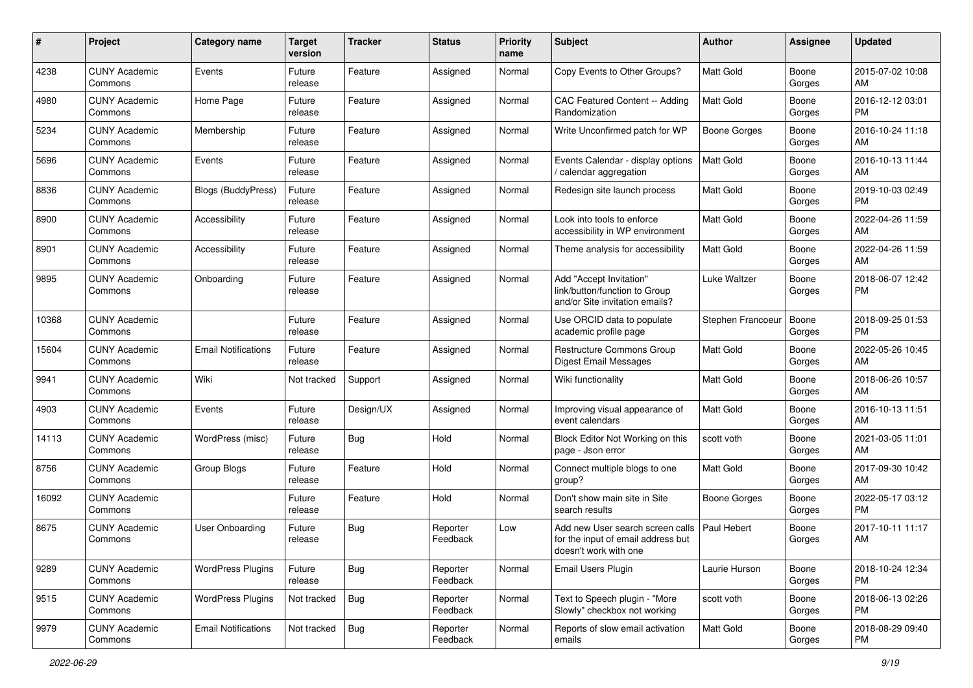| #     | Project                         | <b>Category name</b>       | <b>Target</b><br>version | <b>Tracker</b> | <b>Status</b>        | <b>Priority</b><br>name | Subject                                                                                         | Author              | <b>Assignee</b> | <b>Updated</b>                |
|-------|---------------------------------|----------------------------|--------------------------|----------------|----------------------|-------------------------|-------------------------------------------------------------------------------------------------|---------------------|-----------------|-------------------------------|
| 4238  | <b>CUNY Academic</b><br>Commons | Events                     | Future<br>release        | Feature        | Assigned             | Normal                  | Copy Events to Other Groups?                                                                    | <b>Matt Gold</b>    | Boone<br>Gorges | 2015-07-02 10:08<br>AM        |
| 4980  | <b>CUNY Academic</b><br>Commons | Home Page                  | Future<br>release        | Feature        | Assigned             | Normal                  | CAC Featured Content -- Adding<br>Randomization                                                 | <b>Matt Gold</b>    | Boone<br>Gorges | 2016-12-12 03:01<br><b>PM</b> |
| 5234  | <b>CUNY Academic</b><br>Commons | Membership                 | Future<br>release        | Feature        | Assigned             | Normal                  | Write Unconfirmed patch for WP                                                                  | <b>Boone Gorges</b> | Boone<br>Gorges | 2016-10-24 11:18<br>AM        |
| 5696  | <b>CUNY Academic</b><br>Commons | Events                     | Future<br>release        | Feature        | Assigned             | Normal                  | Events Calendar - display options<br>calendar aggregation                                       | Matt Gold           | Boone<br>Gorges | 2016-10-13 11:44<br>AM        |
| 8836  | <b>CUNY Academic</b><br>Commons | <b>Blogs (BuddyPress)</b>  | Future<br>release        | Feature        | Assigned             | Normal                  | Redesign site launch process                                                                    | <b>Matt Gold</b>    | Boone<br>Gorges | 2019-10-03 02:49<br><b>PM</b> |
| 8900  | <b>CUNY Academic</b><br>Commons | Accessibility              | Future<br>release        | Feature        | Assigned             | Normal                  | Look into tools to enforce<br>accessibility in WP environment                                   | Matt Gold           | Boone<br>Gorges | 2022-04-26 11:59<br>AM        |
| 8901  | <b>CUNY Academic</b><br>Commons | Accessibility              | Future<br>release        | Feature        | Assigned             | Normal                  | Theme analysis for accessibility                                                                | Matt Gold           | Boone<br>Gorges | 2022-04-26 11:59<br>AM        |
| 9895  | <b>CUNY Academic</b><br>Commons | Onboarding                 | Future<br>release        | Feature        | Assigned             | Normal                  | Add "Accept Invitation"<br>link/button/function to Group<br>and/or Site invitation emails?      | Luke Waltzer        | Boone<br>Gorges | 2018-06-07 12:42<br><b>PM</b> |
| 10368 | <b>CUNY Academic</b><br>Commons |                            | Future<br>release        | Feature        | Assigned             | Normal                  | Use ORCID data to populate<br>academic profile page                                             | Stephen Francoeur   | Boone<br>Gorges | 2018-09-25 01:53<br><b>PM</b> |
| 15604 | <b>CUNY Academic</b><br>Commons | <b>Email Notifications</b> | Future<br>release        | Feature        | Assigned             | Normal                  | Restructure Commons Group<br><b>Digest Email Messages</b>                                       | <b>Matt Gold</b>    | Boone<br>Gorges | 2022-05-26 10:45<br>AM        |
| 9941  | <b>CUNY Academic</b><br>Commons | Wiki                       | Not tracked              | Support        | Assigned             | Normal                  | Wiki functionality                                                                              | <b>Matt Gold</b>    | Boone<br>Gorges | 2018-06-26 10:57<br>AM        |
| 4903  | <b>CUNY Academic</b><br>Commons | Events                     | Future<br>release        | Design/UX      | Assigned             | Normal                  | Improving visual appearance of<br>event calendars                                               | <b>Matt Gold</b>    | Boone<br>Gorges | 2016-10-13 11:51<br>AM        |
| 14113 | <b>CUNY Academic</b><br>Commons | WordPress (misc)           | Future<br>release        | <b>Bug</b>     | Hold                 | Normal                  | Block Editor Not Working on this<br>page - Json error                                           | scott voth          | Boone<br>Gorges | 2021-03-05 11:01<br>AM        |
| 8756  | <b>CUNY Academic</b><br>Commons | Group Blogs                | Future<br>release        | Feature        | Hold                 | Normal                  | Connect multiple blogs to one<br>group?                                                         | Matt Gold           | Boone<br>Gorges | 2017-09-30 10:42<br>AM        |
| 16092 | <b>CUNY Academic</b><br>Commons |                            | Future<br>release        | Feature        | Hold                 | Normal                  | Don't show main site in Site<br>search results                                                  | <b>Boone Gorges</b> | Boone<br>Gorges | 2022-05-17 03:12<br><b>PM</b> |
| 8675  | <b>CUNY Academic</b><br>Commons | <b>User Onboarding</b>     | Future<br>release        | Bug            | Reporter<br>Feedback | Low                     | Add new User search screen calls<br>for the input of email address but<br>doesn't work with one | Paul Hebert         | Boone<br>Gorges | 2017-10-11 11:17<br>AM        |
| 9289  | <b>CUNY Academic</b><br>Commons | <b>WordPress Plugins</b>   | Future<br>release        | <b>Bug</b>     | Reporter<br>Feedback | Normal                  | Email Users Plugin                                                                              | Laurie Hurson       | Boone<br>Gorges | 2018-10-24 12:34<br>PM        |
| 9515  | <b>CUNY Academic</b><br>Commons | <b>WordPress Plugins</b>   | Not tracked              | <b>Bug</b>     | Reporter<br>Feedback | Normal                  | Text to Speech plugin - "More<br>Slowly" checkbox not working                                   | scott voth          | Boone<br>Gorges | 2018-06-13 02:26<br><b>PM</b> |
| 9979  | <b>CUNY Academic</b><br>Commons | <b>Email Notifications</b> | Not tracked              | <b>Bug</b>     | Reporter<br>Feedback | Normal                  | Reports of slow email activation<br>emails                                                      | <b>Matt Gold</b>    | Boone<br>Gorges | 2018-08-29 09:40<br><b>PM</b> |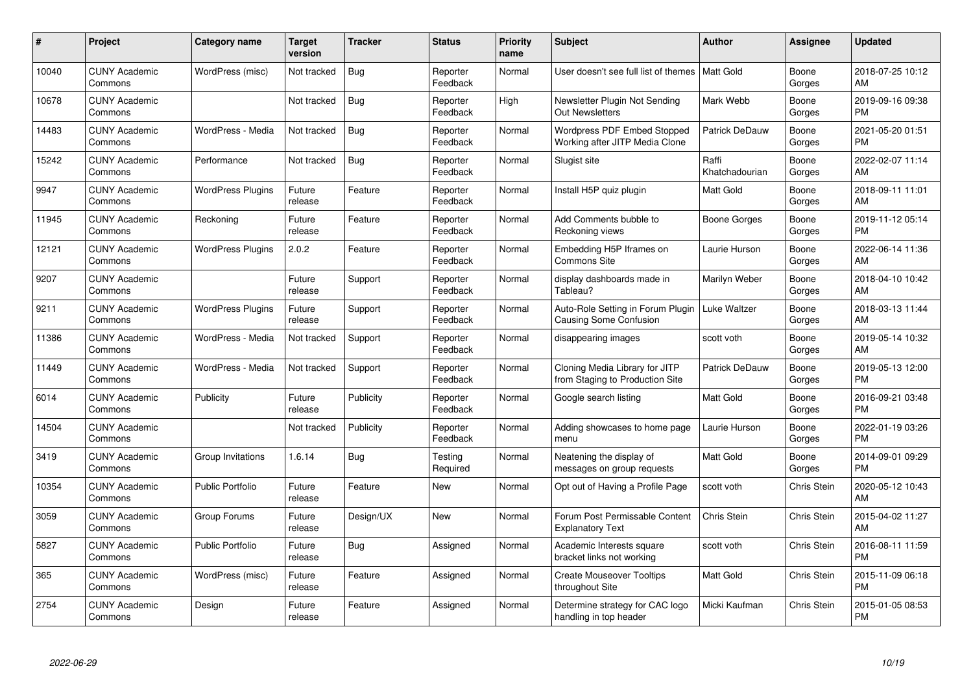| #     | Project                         | <b>Category name</b>     | <b>Target</b><br>version | <b>Tracker</b> | <b>Status</b>        | <b>Priority</b><br>name | <b>Subject</b>                                                       | <b>Author</b>           | <b>Assignee</b> | <b>Updated</b>                |
|-------|---------------------------------|--------------------------|--------------------------|----------------|----------------------|-------------------------|----------------------------------------------------------------------|-------------------------|-----------------|-------------------------------|
| 10040 | <b>CUNY Academic</b><br>Commons | WordPress (misc)         | Not tracked              | <b>Bug</b>     | Reporter<br>Feedback | Normal                  | User doesn't see full list of themes   Matt Gold                     |                         | Boone<br>Gorges | 2018-07-25 10:12<br>AM        |
| 10678 | <b>CUNY Academic</b><br>Commons |                          | Not tracked              | Bug            | Reporter<br>Feedback | High                    | Newsletter Plugin Not Sending<br><b>Out Newsletters</b>              | Mark Webb               | Boone<br>Gorges | 2019-09-16 09:38<br><b>PM</b> |
| 14483 | <b>CUNY Academic</b><br>Commons | WordPress - Media        | Not tracked              | <b>Bug</b>     | Reporter<br>Feedback | Normal                  | <b>Wordpress PDF Embed Stopped</b><br>Working after JITP Media Clone | Patrick DeDauw          | Boone<br>Gorges | 2021-05-20 01:51<br><b>PM</b> |
| 15242 | <b>CUNY Academic</b><br>Commons | Performance              | Not tracked              | <b>Bug</b>     | Reporter<br>Feedback | Normal                  | Slugist site                                                         | Raffi<br>Khatchadourian | Boone<br>Gorges | 2022-02-07 11:14<br>AM        |
| 9947  | <b>CUNY Academic</b><br>Commons | <b>WordPress Plugins</b> | Future<br>release        | Feature        | Reporter<br>Feedback | Normal                  | Install H5P quiz plugin                                              | <b>Matt Gold</b>        | Boone<br>Gorges | 2018-09-11 11:01<br>AM        |
| 11945 | <b>CUNY Academic</b><br>Commons | Reckoning                | Future<br>release        | Feature        | Reporter<br>Feedback | Normal                  | Add Comments bubble to<br>Reckoning views                            | Boone Gorges            | Boone<br>Gorges | 2019-11-12 05:14<br><b>PM</b> |
| 12121 | <b>CUNY Academic</b><br>Commons | <b>WordPress Plugins</b> | 2.0.2                    | Feature        | Reporter<br>Feedback | Normal                  | Embedding H5P Iframes on<br><b>Commons Site</b>                      | Laurie Hurson           | Boone<br>Gorges | 2022-06-14 11:36<br>AM        |
| 9207  | <b>CUNY Academic</b><br>Commons |                          | Future<br>release        | Support        | Reporter<br>Feedback | Normal                  | display dashboards made in<br>Tableau?                               | Marilyn Weber           | Boone<br>Gorges | 2018-04-10 10:42<br>AM        |
| 9211  | <b>CUNY Academic</b><br>Commons | <b>WordPress Plugins</b> | Future<br>release        | Support        | Reporter<br>Feedback | Normal                  | Auto-Role Setting in Forum Plugin<br><b>Causing Some Confusion</b>   | <b>Luke Waltzer</b>     | Boone<br>Gorges | 2018-03-13 11:44<br>AM        |
| 11386 | <b>CUNY Academic</b><br>Commons | WordPress - Media        | Not tracked              | Support        | Reporter<br>Feedback | Normal                  | disappearing images                                                  | scott voth              | Boone<br>Gorges | 2019-05-14 10:32<br>AM        |
| 11449 | <b>CUNY Academic</b><br>Commons | WordPress - Media        | Not tracked              | Support        | Reporter<br>Feedback | Normal                  | Cloning Media Library for JITP<br>from Staging to Production Site    | Patrick DeDauw          | Boone<br>Gorges | 2019-05-13 12:00<br><b>PM</b> |
| 6014  | <b>CUNY Academic</b><br>Commons | Publicity                | Future<br>release        | Publicity      | Reporter<br>Feedback | Normal                  | Google search listing                                                | <b>Matt Gold</b>        | Boone<br>Gorges | 2016-09-21 03:48<br><b>PM</b> |
| 14504 | <b>CUNY Academic</b><br>Commons |                          | Not tracked              | Publicity      | Reporter<br>Feedback | Normal                  | Adding showcases to home page<br>menu                                | Laurie Hurson           | Boone<br>Gorges | 2022-01-19 03:26<br><b>PM</b> |
| 3419  | <b>CUNY Academic</b><br>Commons | Group Invitations        | 1.6.14                   | Bug            | Testing<br>Required  | Normal                  | Neatening the display of<br>messages on group requests               | <b>Matt Gold</b>        | Boone<br>Gorges | 2014-09-01 09:29<br><b>PM</b> |
| 10354 | <b>CUNY Academic</b><br>Commons | <b>Public Portfolio</b>  | Future<br>release        | Feature        | <b>New</b>           | Normal                  | Opt out of Having a Profile Page                                     | scott voth              | Chris Stein     | 2020-05-12 10:43<br>AM        |
| 3059  | <b>CUNY Academic</b><br>Commons | Group Forums             | Future<br>release        | Design/UX      | <b>New</b>           | Normal                  | Forum Post Permissable Content<br><b>Explanatory Text</b>            | Chris Stein             | Chris Stein     | 2015-04-02 11:27<br>AM        |
| 5827  | <b>CUNY Academic</b><br>Commons | <b>Public Portfolio</b>  | Future<br>release        | Bug            | Assigned             | Normal                  | Academic Interests square<br>bracket links not working               | scott voth              | Chris Stein     | 2016-08-11 11:59<br><b>PM</b> |
| 365   | <b>CUNY Academic</b><br>Commons | WordPress (misc)         | Future<br>release        | Feature        | Assigned             | Normal                  | <b>Create Mouseover Tooltips</b><br>throughout Site                  | <b>Matt Gold</b>        | Chris Stein     | 2015-11-09 06:18<br><b>PM</b> |
| 2754  | <b>CUNY Academic</b><br>Commons | Design                   | Future<br>release        | Feature        | Assigned             | Normal                  | Determine strategy for CAC logo<br>handling in top header            | Micki Kaufman           | Chris Stein     | 2015-01-05 08:53<br>PM        |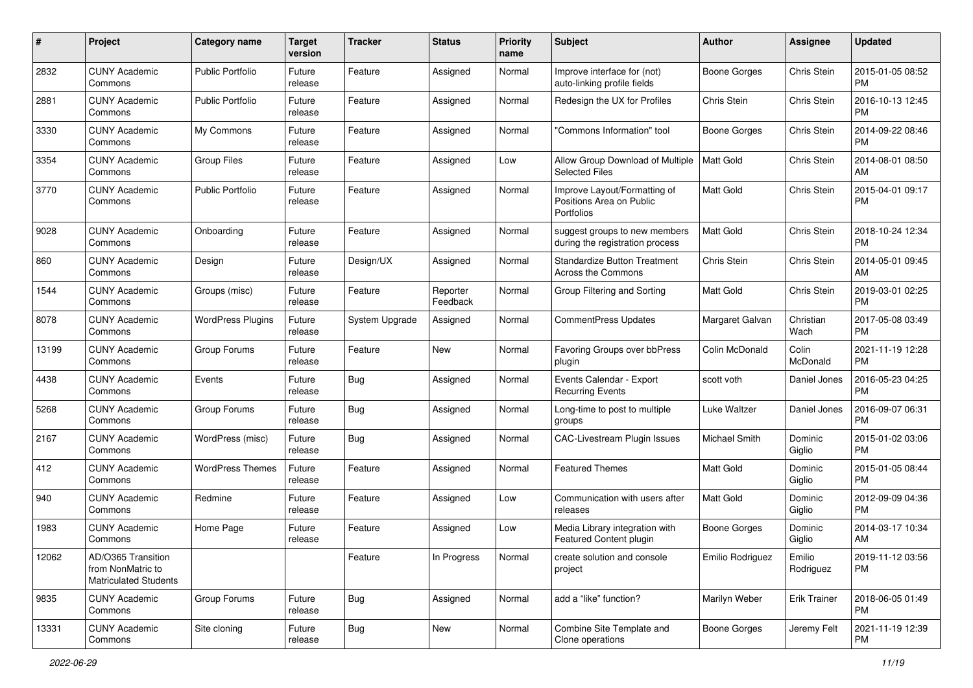| #     | Project                                                                 | Category name            | <b>Target</b><br>version | <b>Tracker</b> | <b>Status</b>        | <b>Priority</b><br>name | <b>Subject</b>                                                         | <b>Author</b>       | <b>Assignee</b>     | <b>Updated</b>                |
|-------|-------------------------------------------------------------------------|--------------------------|--------------------------|----------------|----------------------|-------------------------|------------------------------------------------------------------------|---------------------|---------------------|-------------------------------|
| 2832  | <b>CUNY Academic</b><br>Commons                                         | <b>Public Portfolio</b>  | Future<br>release        | Feature        | Assigned             | Normal                  | Improve interface for (not)<br>auto-linking profile fields             | <b>Boone Gorges</b> | Chris Stein         | 2015-01-05 08:52<br><b>PM</b> |
| 2881  | <b>CUNY Academic</b><br>Commons                                         | <b>Public Portfolio</b>  | Future<br>release        | Feature        | Assigned             | Normal                  | Redesign the UX for Profiles                                           | Chris Stein         | Chris Stein         | 2016-10-13 12:45<br><b>PM</b> |
| 3330  | <b>CUNY Academic</b><br>Commons                                         | My Commons               | Future<br>release        | Feature        | Assigned             | Normal                  | "Commons Information" tool                                             | <b>Boone Gorges</b> | Chris Stein         | 2014-09-22 08:46<br><b>PM</b> |
| 3354  | <b>CUNY Academic</b><br>Commons                                         | <b>Group Files</b>       | Future<br>release        | Feature        | Assigned             | Low                     | Allow Group Download of Multiple<br><b>Selected Files</b>              | Matt Gold           | Chris Stein         | 2014-08-01 08:50<br>AM        |
| 3770  | <b>CUNY Academic</b><br>Commons                                         | <b>Public Portfolio</b>  | Future<br>release        | Feature        | Assigned             | Normal                  | Improve Layout/Formatting of<br>Positions Area on Public<br>Portfolios | <b>Matt Gold</b>    | Chris Stein         | 2015-04-01 09:17<br><b>PM</b> |
| 9028  | <b>CUNY Academic</b><br>Commons                                         | Onboarding               | Future<br>release        | Feature        | Assigned             | Normal                  | suggest groups to new members<br>during the registration process       | <b>Matt Gold</b>    | Chris Stein         | 2018-10-24 12:34<br><b>PM</b> |
| 860   | <b>CUNY Academic</b><br>Commons                                         | Design                   | Future<br>release        | Design/UX      | Assigned             | Normal                  | <b>Standardize Button Treatment</b><br>Across the Commons              | Chris Stein         | Chris Stein         | 2014-05-01 09:45<br>AM        |
| 1544  | <b>CUNY Academic</b><br>Commons                                         | Groups (misc)            | Future<br>release        | Feature        | Reporter<br>Feedback | Normal                  | Group Filtering and Sorting                                            | Matt Gold           | Chris Stein         | 2019-03-01 02:25<br><b>PM</b> |
| 8078  | <b>CUNY Academic</b><br>Commons                                         | <b>WordPress Plugins</b> | Future<br>release        | System Upgrade | Assigned             | Normal                  | CommentPress Updates                                                   | Margaret Galvan     | Christian<br>Wach   | 2017-05-08 03:49<br><b>PM</b> |
| 13199 | <b>CUNY Academic</b><br>Commons                                         | Group Forums             | Future<br>release        | Feature        | New                  | Normal                  | Favoring Groups over bbPress<br>plugin                                 | Colin McDonald      | Colin<br>McDonald   | 2021-11-19 12:28<br><b>PM</b> |
| 4438  | <b>CUNY Academic</b><br>Commons                                         | Events                   | Future<br>release        | <b>Bug</b>     | Assigned             | Normal                  | Events Calendar - Export<br><b>Recurring Events</b>                    | scott voth          | Daniel Jones        | 2016-05-23 04:25<br><b>PM</b> |
| 5268  | <b>CUNY Academic</b><br>Commons                                         | Group Forums             | Future<br>release        | Bug            | Assigned             | Normal                  | Long-time to post to multiple<br>groups                                | Luke Waltzer        | Daniel Jones        | 2016-09-07 06:31<br><b>PM</b> |
| 2167  | <b>CUNY Academic</b><br>Commons                                         | WordPress (misc)         | Future<br>release        | Bug            | Assigned             | Normal                  | <b>CAC-Livestream Plugin Issues</b>                                    | Michael Smith       | Dominic<br>Giglio   | 2015-01-02 03:06<br><b>PM</b> |
| 412   | <b>CUNY Academic</b><br>Commons                                         | <b>WordPress Themes</b>  | Future<br>release        | Feature        | Assigned             | Normal                  | <b>Featured Themes</b>                                                 | <b>Matt Gold</b>    | Dominic<br>Giglio   | 2015-01-05 08:44<br><b>PM</b> |
| 940   | <b>CUNY Academic</b><br>Commons                                         | Redmine                  | Future<br>release        | Feature        | Assigned             | Low                     | Communication with users after<br>releases                             | <b>Matt Gold</b>    | Dominic<br>Giglio   | 2012-09-09 04:36<br><b>PM</b> |
| 1983  | <b>CUNY Academic</b><br>Commons                                         | Home Page                | Future<br>release        | Feature        | Assigned             | Low                     | Media Library integration with<br>Featured Content plugin              | <b>Boone Gorges</b> | Dominic<br>Giglio   | 2014-03-17 10:34<br>AM        |
| 12062 | AD/O365 Transition<br>from NonMatric to<br><b>Matriculated Students</b> |                          |                          | Feature        | In Progress          | Normal                  | create solution and console<br>project                                 | Emilio Rodriguez    | Emilio<br>Rodriguez | 2019-11-12 03:56<br>PM        |
| 9835  | <b>CUNY Academic</b><br>Commons                                         | Group Forums             | Future<br>release        | Bug            | Assigned             | Normal                  | add a "like" function?                                                 | Marilyn Weber       | <b>Erik Trainer</b> | 2018-06-05 01:49<br>PM        |
| 13331 | <b>CUNY Academic</b><br>Commons                                         | Site cloning             | Future<br>release        | <b>Bug</b>     | New                  | Normal                  | Combine Site Template and<br>Clone operations                          | <b>Boone Gorges</b> | Jeremy Felt         | 2021-11-19 12:39<br>PM        |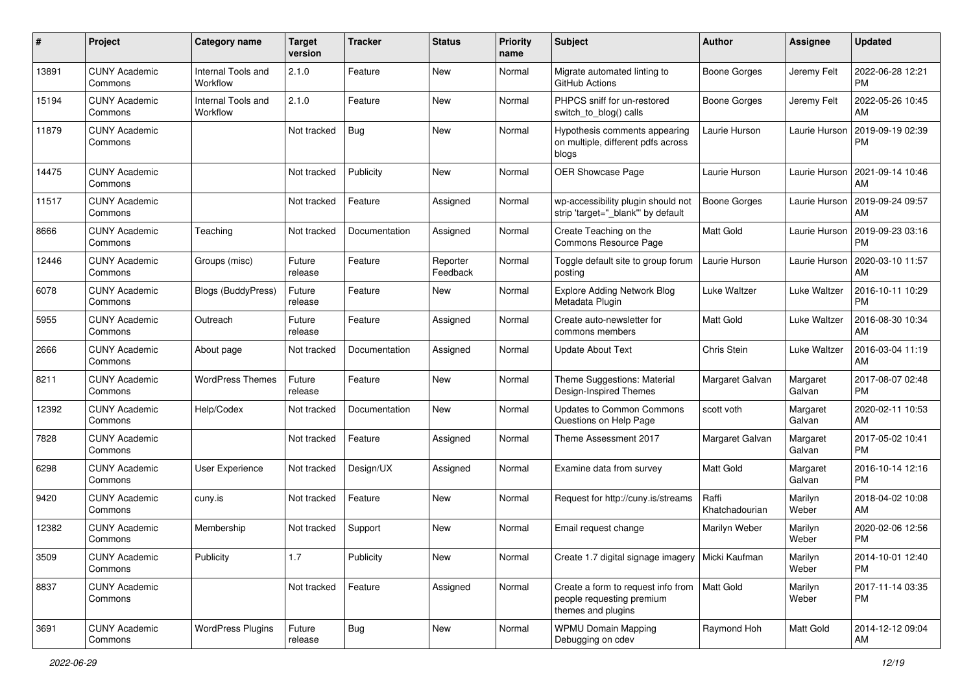| #     | Project                         | Category name                  | <b>Target</b><br>version | <b>Tracker</b> | <b>Status</b>        | <b>Priority</b><br>name | Subject                                                                                           | <b>Author</b>           | <b>Assignee</b>     | <b>Updated</b>                |
|-------|---------------------------------|--------------------------------|--------------------------|----------------|----------------------|-------------------------|---------------------------------------------------------------------------------------------------|-------------------------|---------------------|-------------------------------|
| 13891 | <b>CUNY Academic</b><br>Commons | Internal Tools and<br>Workflow | 2.1.0                    | Feature        | <b>New</b>           | Normal                  | Migrate automated linting to<br>GitHub Actions                                                    | <b>Boone Gorges</b>     | Jeremy Felt         | 2022-06-28 12:21<br><b>PM</b> |
| 15194 | <b>CUNY Academic</b><br>Commons | Internal Tools and<br>Workflow | 2.1.0                    | Feature        | New                  | Normal                  | PHPCS sniff for un-restored<br>switch_to_blog() calls                                             | <b>Boone Gorges</b>     | Jeremy Felt         | 2022-05-26 10:45<br>AM        |
| 11879 | <b>CUNY Academic</b><br>Commons |                                | Not tracked              | <b>Bug</b>     | New                  | Normal                  | Hypothesis comments appearing<br>on multiple, different pdfs across<br>blogs                      | Laurie Hurson           | Laurie Hurson       | 2019-09-19 02:39<br><b>PM</b> |
| 14475 | <b>CUNY Academic</b><br>Commons |                                | Not tracked              | Publicity      | New                  | Normal                  | OER Showcase Page                                                                                 | Laurie Hurson           | Laurie Hurson       | 2021-09-14 10:46<br>AM        |
| 11517 | <b>CUNY Academic</b><br>Commons |                                | Not tracked              | Feature        | Assigned             | Normal                  | wp-accessibility plugin should not<br>strip 'target=" blank" by default                           | <b>Boone Gorges</b>     | Laurie Hurson       | 2019-09-24 09:57<br>AM        |
| 8666  | <b>CUNY Academic</b><br>Commons | Teaching                       | Not tracked              | Documentation  | Assigned             | Normal                  | Create Teaching on the<br>Commons Resource Page                                                   | Matt Gold               | Laurie Hurson       | 2019-09-23 03:16<br><b>PM</b> |
| 12446 | <b>CUNY Academic</b><br>Commons | Groups (misc)                  | Future<br>release        | Feature        | Reporter<br>Feedback | Normal                  | Toggle default site to group forum<br>posting                                                     | Laurie Hurson           | Laurie Hurson       | 2020-03-10 11:57<br>AM        |
| 6078  | <b>CUNY Academic</b><br>Commons | <b>Blogs (BuddyPress)</b>      | Future<br>release        | Feature        | New                  | Normal                  | <b>Explore Adding Network Blog</b><br>Metadata Plugin                                             | Luke Waltzer            | Luke Waltzer        | 2016-10-11 10:29<br><b>PM</b> |
| 5955  | <b>CUNY Academic</b><br>Commons | Outreach                       | Future<br>release        | Feature        | Assigned             | Normal                  | Create auto-newsletter for<br>commons members                                                     | <b>Matt Gold</b>        | <b>Luke Waltzer</b> | 2016-08-30 10:34<br>AM        |
| 2666  | <b>CUNY Academic</b><br>Commons | About page                     | Not tracked              | Documentation  | Assigned             | Normal                  | <b>Update About Text</b>                                                                          | Chris Stein             | Luke Waltzer        | 2016-03-04 11:19<br>AM        |
| 8211  | <b>CUNY Academic</b><br>Commons | <b>WordPress Themes</b>        | Future<br>release        | Feature        | <b>New</b>           | Normal                  | Theme Suggestions: Material<br>Design-Inspired Themes                                             | Margaret Galvan         | Margaret<br>Galvan  | 2017-08-07 02:48<br><b>PM</b> |
| 12392 | <b>CUNY Academic</b><br>Commons | Help/Codex                     | Not tracked              | Documentation  | <b>New</b>           | Normal                  | <b>Updates to Common Commons</b><br>Questions on Help Page                                        | scott voth              | Margaret<br>Galvan  | 2020-02-11 10:53<br>AM        |
| 7828  | <b>CUNY Academic</b><br>Commons |                                | Not tracked              | Feature        | Assigned             | Normal                  | Theme Assessment 2017                                                                             | Margaret Galvan         | Margaret<br>Galvan  | 2017-05-02 10:41<br><b>PM</b> |
| 6298  | <b>CUNY Academic</b><br>Commons | User Experience                | Not tracked              | Design/UX      | Assigned             | Normal                  | Examine data from survey                                                                          | <b>Matt Gold</b>        | Margaret<br>Galvan  | 2016-10-14 12:16<br><b>PM</b> |
| 9420  | <b>CUNY Academic</b><br>Commons | cuny.is                        | Not tracked              | Feature        | New                  | Normal                  | Request for http://cuny.is/streams                                                                | Raffi<br>Khatchadourian | Marilyn<br>Weber    | 2018-04-02 10:08<br>AM        |
| 12382 | <b>CUNY Academic</b><br>Commons | Membership                     | Not tracked              | Support        | New                  | Normal                  | Email request change                                                                              | Marilyn Weber           | Marilyn<br>Weber    | 2020-02-06 12:56<br><b>PM</b> |
| 3509  | <b>CUNY Academic</b><br>Commons | Publicity                      | $1.7$                    | Publicity      | New                  | Normal                  | Create 1.7 digital signage imagery   Micki Kaufman                                                |                         | Marilyn<br>Weber    | 2014-10-01 12:40<br>PM        |
| 8837  | <b>CUNY Academic</b><br>Commons |                                | Not tracked              | Feature        | Assigned             | Normal                  | Create a form to request info from   Matt Gold<br>people requesting premium<br>themes and plugins |                         | Marilyn<br>Weber    | 2017-11-14 03:35<br>PM        |
| 3691  | <b>CUNY Academic</b><br>Commons | <b>WordPress Plugins</b>       | Future<br>release        | Bug            | New                  | Normal                  | <b>WPMU Domain Mapping</b><br>Debugging on cdev                                                   | Raymond Hoh             | Matt Gold           | 2014-12-12 09:04<br>AM        |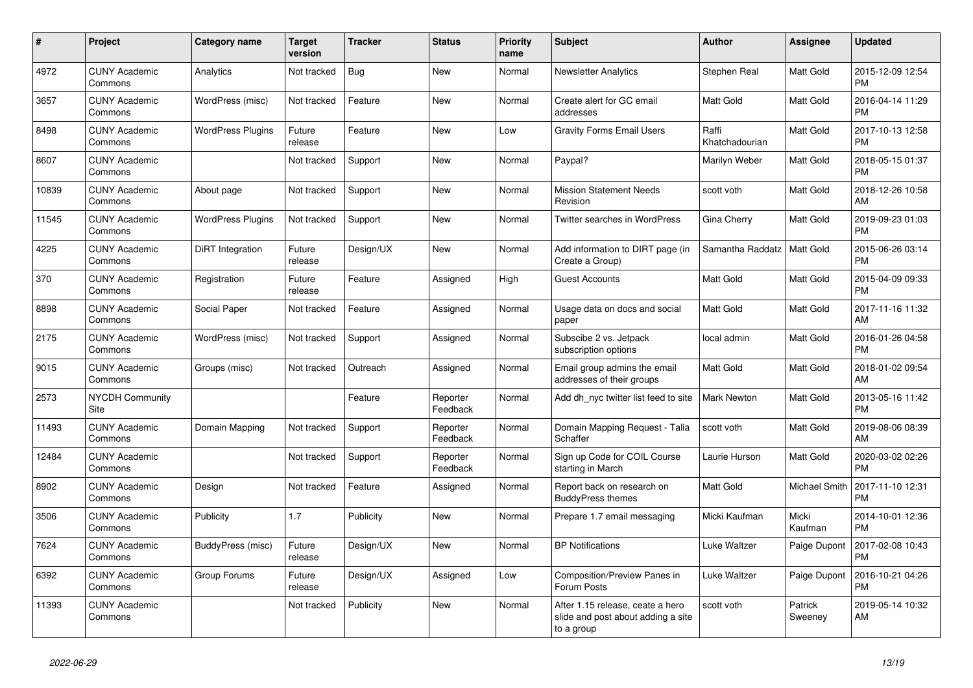| #     | <b>Project</b>                  | Category name            | <b>Target</b><br>version | <b>Tracker</b> | <b>Status</b>        | <b>Priority</b><br>name | <b>Subject</b>                                                                       | <b>Author</b>           | Assignee           | <b>Updated</b>                |
|-------|---------------------------------|--------------------------|--------------------------|----------------|----------------------|-------------------------|--------------------------------------------------------------------------------------|-------------------------|--------------------|-------------------------------|
| 4972  | <b>CUNY Academic</b><br>Commons | Analytics                | Not tracked              | <b>Bug</b>     | <b>New</b>           | Normal                  | <b>Newsletter Analytics</b>                                                          | Stephen Real            | <b>Matt Gold</b>   | 2015-12-09 12:54<br><b>PM</b> |
| 3657  | <b>CUNY Academic</b><br>Commons | WordPress (misc)         | Not tracked              | Feature        | <b>New</b>           | Normal                  | Create alert for GC email<br>addresses                                               | <b>Matt Gold</b>        | Matt Gold          | 2016-04-14 11:29<br><b>PM</b> |
| 8498  | <b>CUNY Academic</b><br>Commons | WordPress Plugins        | Future<br>release        | Feature        | <b>New</b>           | Low                     | <b>Gravity Forms Email Users</b>                                                     | Raffi<br>Khatchadourian | Matt Gold          | 2017-10-13 12:58<br><b>PM</b> |
| 8607  | <b>CUNY Academic</b><br>Commons |                          | Not tracked              | Support        | <b>New</b>           | Normal                  | Paypal?                                                                              | Marilyn Weber           | Matt Gold          | 2018-05-15 01:37<br><b>PM</b> |
| 10839 | <b>CUNY Academic</b><br>Commons | About page               | Not tracked              | Support        | <b>New</b>           | Normal                  | <b>Mission Statement Needs</b><br>Revision                                           | scott voth              | Matt Gold          | 2018-12-26 10:58<br>AM        |
| 11545 | <b>CUNY Academic</b><br>Commons | <b>WordPress Plugins</b> | Not tracked              | Support        | <b>New</b>           | Normal                  | Twitter searches in WordPress                                                        | Gina Cherry             | Matt Gold          | 2019-09-23 01:03<br><b>PM</b> |
| 4225  | <b>CUNY Academic</b><br>Commons | DiRT Integration         | Future<br>release        | Design/UX      | <b>New</b>           | Normal                  | Add information to DIRT page (in<br>Create a Group)                                  | Samantha Raddatz        | Matt Gold          | 2015-06-26 03:14<br><b>PM</b> |
| 370   | <b>CUNY Academic</b><br>Commons | Registration             | Future<br>release        | Feature        | Assigned             | High                    | <b>Guest Accounts</b>                                                                | <b>Matt Gold</b>        | <b>Matt Gold</b>   | 2015-04-09 09:33<br><b>PM</b> |
| 8898  | <b>CUNY Academic</b><br>Commons | Social Paper             | Not tracked              | Feature        | Assigned             | Normal                  | Usage data on docs and social<br>paper                                               | Matt Gold               | Matt Gold          | 2017-11-16 11:32<br>AM        |
| 2175  | <b>CUNY Academic</b><br>Commons | WordPress (misc)         | Not tracked              | Support        | Assigned             | Normal                  | Subscibe 2 vs. Jetpack<br>subscription options                                       | local admin             | Matt Gold          | 2016-01-26 04:58<br><b>PM</b> |
| 9015  | <b>CUNY Academic</b><br>Commons | Groups (misc)            | Not tracked              | Outreach       | Assigned             | Normal                  | Email group admins the email<br>addresses of their groups                            | Matt Gold               | <b>Matt Gold</b>   | 2018-01-02 09:54<br>AM        |
| 2573  | <b>NYCDH Community</b><br>Site  |                          |                          | Feature        | Reporter<br>Feedback | Normal                  | Add dh nyc twitter list feed to site                                                 | Mark Newton             | Matt Gold          | 2013-05-16 11:42<br><b>PM</b> |
| 11493 | <b>CUNY Academic</b><br>Commons | Domain Mapping           | Not tracked              | Support        | Reporter<br>Feedback | Normal                  | Domain Mapping Request - Talia<br>Schaffer                                           | scott voth              | <b>Matt Gold</b>   | 2019-08-06 08:39<br>AM        |
| 12484 | <b>CUNY Academic</b><br>Commons |                          | Not tracked              | Support        | Reporter<br>Feedback | Normal                  | Sign up Code for COIL Course<br>starting in March                                    | Laurie Hurson           | Matt Gold          | 2020-03-02 02:26<br><b>PM</b> |
| 8902  | <b>CUNY Academic</b><br>Commons | Design                   | Not tracked              | Feature        | Assigned             | Normal                  | Report back on research on<br><b>BuddyPress themes</b>                               | Matt Gold               | Michael Smith      | 2017-11-10 12:31<br><b>PM</b> |
| 3506  | <b>CUNY Academic</b><br>Commons | Publicity                | 1.7                      | Publicity      | <b>New</b>           | Normal                  | Prepare 1.7 email messaging                                                          | Micki Kaufman           | Micki<br>Kaufman   | 2014-10-01 12:36<br><b>PM</b> |
| 7624  | <b>CUNY Academic</b><br>Commons | <b>BuddyPress (misc)</b> | Future<br>release        | Design/UX      | <b>New</b>           | Normal                  | <b>BP Notifications</b>                                                              | <b>Luke Waltzer</b>     | Paige Dupont       | 2017-02-08 10:43<br><b>PM</b> |
| 6392  | <b>CUNY Academic</b><br>Commons | Group Forums             | Future<br>release        | Design/UX      | Assigned             | Low                     | Composition/Preview Panes in<br>Forum Posts                                          | Luke Waltzer            | Paige Dupont       | 2016-10-21 04:26<br><b>PM</b> |
| 11393 | <b>CUNY Academic</b><br>Commons |                          | Not tracked              | Publicity      | <b>New</b>           | Normal                  | After 1.15 release, ceate a hero<br>slide and post about adding a site<br>to a group | scott voth              | Patrick<br>Sweeney | 2019-05-14 10:32<br>AM        |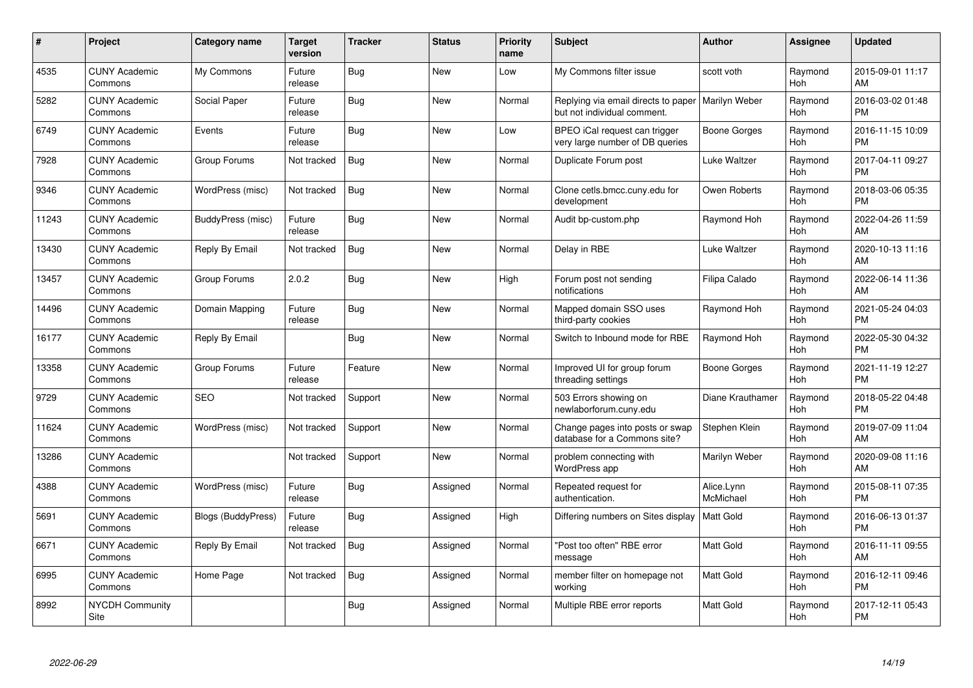| #     | <b>Project</b>                  | Category name             | <b>Target</b><br>version | <b>Tracker</b> | <b>Status</b> | <b>Priority</b><br>name | <b>Subject</b>                                                                     | <b>Author</b>           | Assignee              | <b>Updated</b>                |
|-------|---------------------------------|---------------------------|--------------------------|----------------|---------------|-------------------------|------------------------------------------------------------------------------------|-------------------------|-----------------------|-------------------------------|
| 4535  | <b>CUNY Academic</b><br>Commons | My Commons                | Future<br>release        | <b>Bug</b>     | <b>New</b>    | Low                     | My Commons filter issue                                                            | scott voth              | Raymond<br>Hoh        | 2015-09-01 11:17<br>AM        |
| 5282  | <b>CUNY Academic</b><br>Commons | Social Paper              | Future<br>release        | <b>Bug</b>     | New           | Normal                  | Replying via email directs to paper   Marilyn Weber<br>but not individual comment. |                         | Raymond<br>Hoh        | 2016-03-02 01:48<br><b>PM</b> |
| 6749  | <b>CUNY Academic</b><br>Commons | Events                    | Future<br>release        | <b>Bug</b>     | <b>New</b>    | Low                     | BPEO iCal request can trigger<br>very large number of DB queries                   | Boone Gorges            | Raymond<br><b>Hoh</b> | 2016-11-15 10:09<br><b>PM</b> |
| 7928  | <b>CUNY Academic</b><br>Commons | Group Forums              | Not tracked              | <b>Bug</b>     | <b>New</b>    | Normal                  | Duplicate Forum post                                                               | Luke Waltzer            | Raymond<br><b>Hoh</b> | 2017-04-11 09:27<br><b>PM</b> |
| 9346  | <b>CUNY Academic</b><br>Commons | WordPress (misc)          | Not tracked              | <b>Bug</b>     | <b>New</b>    | Normal                  | Clone cetls.bmcc.cuny.edu for<br>development                                       | Owen Roberts            | Raymond<br><b>Hoh</b> | 2018-03-06 05:35<br><b>PM</b> |
| 11243 | <b>CUNY Academic</b><br>Commons | BuddyPress (misc)         | Future<br>release        | Bug            | <b>New</b>    | Normal                  | Audit bp-custom.php                                                                | Raymond Hoh             | Raymond<br><b>Hoh</b> | 2022-04-26 11:59<br>AM        |
| 13430 | <b>CUNY Academic</b><br>Commons | Reply By Email            | Not tracked              | <b>Bug</b>     | <b>New</b>    | Normal                  | Delay in RBE                                                                       | Luke Waltzer            | Raymond<br><b>Hoh</b> | 2020-10-13 11:16<br>AM        |
| 13457 | <b>CUNY Academic</b><br>Commons | Group Forums              | 2.0.2                    | <b>Bug</b>     | <b>New</b>    | High                    | Forum post not sending<br>notifications                                            | Filipa Calado           | Raymond<br>Hoh        | 2022-06-14 11:36<br>AM        |
| 14496 | <b>CUNY Academic</b><br>Commons | Domain Mapping            | Future<br>release        | Bug            | <b>New</b>    | Normal                  | Mapped domain SSO uses<br>third-party cookies                                      | Raymond Hoh             | Raymond<br>Hoh        | 2021-05-24 04:03<br><b>PM</b> |
| 16177 | <b>CUNY Academic</b><br>Commons | Reply By Email            |                          | Bug            | <b>New</b>    | Normal                  | Switch to Inbound mode for RBE                                                     | Raymond Hoh             | Raymond<br>Hoh        | 2022-05-30 04:32<br><b>PM</b> |
| 13358 | <b>CUNY Academic</b><br>Commons | Group Forums              | Future<br>release        | Feature        | <b>New</b>    | Normal                  | Improved UI for group forum<br>threading settings                                  | Boone Gorges            | Raymond<br>Hoh        | 2021-11-19 12:27<br><b>PM</b> |
| 9729  | <b>CUNY Academic</b><br>Commons | <b>SEO</b>                | Not tracked              | Support        | <b>New</b>    | Normal                  | 503 Errors showing on<br>newlaborforum.cuny.edu                                    | Diane Krauthamer        | Raymond<br>Hoh        | 2018-05-22 04:48<br><b>PM</b> |
| 11624 | <b>CUNY Academic</b><br>Commons | WordPress (misc)          | Not tracked              | Support        | New           | Normal                  | Change pages into posts or swap<br>database for a Commons site?                    | Stephen Klein           | Raymond<br><b>Hoh</b> | 2019-07-09 11:04<br>AM        |
| 13286 | <b>CUNY Academic</b><br>Commons |                           | Not tracked              | Support        | New           | Normal                  | problem connecting with<br>WordPress app                                           | Marilyn Weber           | Raymond<br>Hoh        | 2020-09-08 11:16<br>AM        |
| 4388  | <b>CUNY Academic</b><br>Commons | WordPress (misc)          | Future<br>release        | <b>Bug</b>     | Assigned      | Normal                  | Repeated request for<br>authentication.                                            | Alice.Lynn<br>McMichael | Raymond<br>Hoh        | 2015-08-11 07:35<br><b>PM</b> |
| 5691  | <b>CUNY Academic</b><br>Commons | <b>Blogs (BuddyPress)</b> | Future<br>release        | Bug            | Assigned      | High                    | Differing numbers on Sites display                                                 | <b>Matt Gold</b>        | Raymond<br>Hoh        | 2016-06-13 01:37<br><b>PM</b> |
| 6671  | <b>CUNY Academic</b><br>Commons | Reply By Email            | Not tracked              | Bug            | Assigned      | Normal                  | 'Post too often" RBE error<br>message                                              | <b>Matt Gold</b>        | Raymond<br><b>Hoh</b> | 2016-11-11 09:55<br>AM        |
| 6995  | <b>CUNY Academic</b><br>Commons | Home Page                 | Not tracked              | Bug            | Assigned      | Normal                  | member filter on homepage not<br>working                                           | Matt Gold               | Raymond<br>Hoh        | 2016-12-11 09:46<br><b>PM</b> |
| 8992  | <b>NYCDH Community</b><br>Site  |                           |                          | <b>Bug</b>     | Assigned      | Normal                  | Multiple RBE error reports                                                         | <b>Matt Gold</b>        | Raymond<br>Hoh        | 2017-12-11 05:43<br>PM        |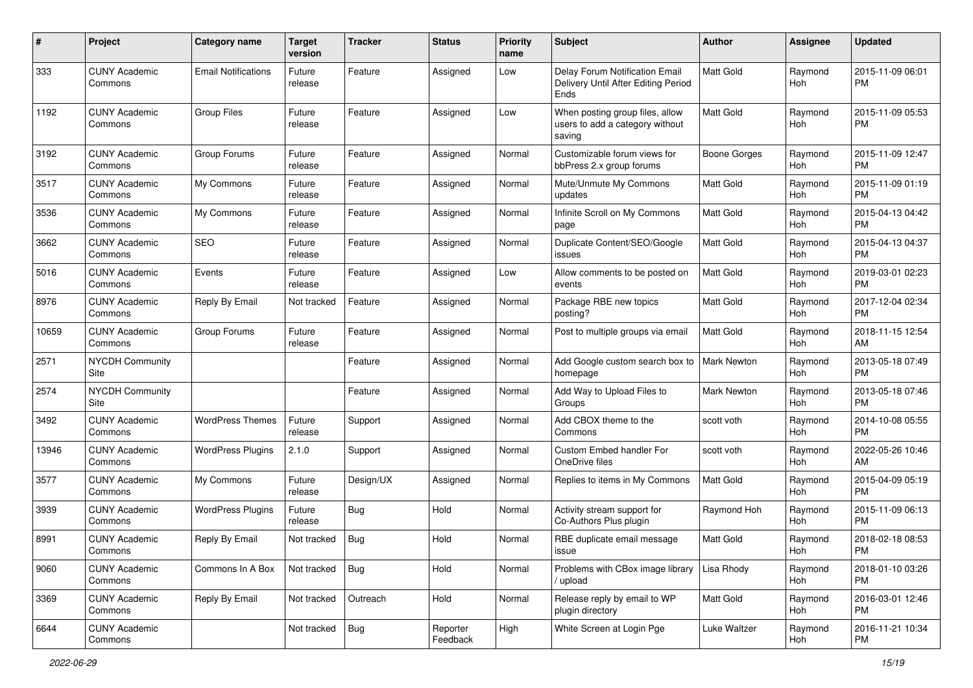| #     | Project                         | <b>Category name</b>       | <b>Target</b><br>version | <b>Tracker</b> | <b>Status</b>        | <b>Priority</b><br>name | Subject                                                                              | Author              | <b>Assignee</b> | <b>Updated</b>                |
|-------|---------------------------------|----------------------------|--------------------------|----------------|----------------------|-------------------------|--------------------------------------------------------------------------------------|---------------------|-----------------|-------------------------------|
| 333   | <b>CUNY Academic</b><br>Commons | <b>Email Notifications</b> | Future<br>release        | Feature        | Assigned             | Low                     | Delay Forum Notification Email<br>Delivery Until After Editing Period<br><b>Ends</b> | <b>Matt Gold</b>    | Raymond<br>Hoh  | 2015-11-09 06:01<br>РM        |
| 1192  | <b>CUNY Academic</b><br>Commons | <b>Group Files</b>         | Future<br>release        | Feature        | Assigned             | Low                     | When posting group files, allow<br>users to add a category without<br>saving         | <b>Matt Gold</b>    | Raymond<br>Hoh  | 2015-11-09 05:53<br>РM        |
| 3192  | <b>CUNY Academic</b><br>Commons | Group Forums               | Future<br>release        | Feature        | Assigned             | Normal                  | Customizable forum views for<br>bbPress 2.x group forums                             | <b>Boone Gorges</b> | Raymond<br>Hoh  | 2015-11-09 12:47<br><b>PM</b> |
| 3517  | <b>CUNY Academic</b><br>Commons | My Commons                 | Future<br>release        | Feature        | Assigned             | Normal                  | Mute/Unmute My Commons<br>updates                                                    | <b>Matt Gold</b>    | Raymond<br>Hoh  | 2015-11-09 01:19<br><b>PM</b> |
| 3536  | <b>CUNY Academic</b><br>Commons | My Commons                 | Future<br>release        | Feature        | Assigned             | Normal                  | Infinite Scroll on My Commons<br>page                                                | Matt Gold           | Raymond<br>Hoh  | 2015-04-13 04:42<br><b>PM</b> |
| 3662  | <b>CUNY Academic</b><br>Commons | SEO                        | Future<br>release        | Feature        | Assigned             | Normal                  | Duplicate Content/SEO/Google<br>issues                                               | <b>Matt Gold</b>    | Raymond<br>Hoh  | 2015-04-13 04:37<br><b>PM</b> |
| 5016  | <b>CUNY Academic</b><br>Commons | Events                     | Future<br>release        | Feature        | Assigned             | Low                     | Allow comments to be posted on<br>events                                             | <b>Matt Gold</b>    | Raymond<br>Hoh  | 2019-03-01 02:23<br><b>PM</b> |
| 8976  | <b>CUNY Academic</b><br>Commons | Reply By Email             | Not tracked              | Feature        | Assigned             | Normal                  | Package RBE new topics<br>posting?                                                   | Matt Gold           | Raymond<br>Hoh  | 2017-12-04 02:34<br><b>PM</b> |
| 10659 | <b>CUNY Academic</b><br>Commons | Group Forums               | Future<br>release        | Feature        | Assigned             | Normal                  | Post to multiple groups via email                                                    | <b>Matt Gold</b>    | Raymond<br>Hoh  | 2018-11-15 12:54<br>AM        |
| 2571  | <b>NYCDH Community</b><br>Site  |                            |                          | Feature        | Assigned             | Normal                  | Add Google custom search box to<br>homepage                                          | <b>Mark Newton</b>  | Raymond<br>Hoh  | 2013-05-18 07:49<br><b>PM</b> |
| 2574  | NYCDH Community<br>Site         |                            |                          | Feature        | Assigned             | Normal                  | Add Way to Upload Files to<br>Groups                                                 | Mark Newton         | Raymond<br>Hoh  | 2013-05-18 07:46<br><b>PM</b> |
| 3492  | <b>CUNY Academic</b><br>Commons | <b>WordPress Themes</b>    | Future<br>release        | Support        | Assigned             | Normal                  | Add CBOX theme to the<br>Commons                                                     | scott voth          | Raymond<br>Hoh  | 2014-10-08 05:55<br><b>PM</b> |
| 13946 | <b>CUNY Academic</b><br>Commons | <b>WordPress Plugins</b>   | 2.1.0                    | Support        | Assigned             | Normal                  | Custom Embed handler For<br>OneDrive files                                           | scott voth          | Raymond<br>Hoh  | 2022-05-26 10:46<br>AM        |
| 3577  | <b>CUNY Academic</b><br>Commons | My Commons                 | Future<br>release        | Design/UX      | Assigned             | Normal                  | Replies to items in My Commons                                                       | Matt Gold           | Raymond<br>Hoh  | 2015-04-09 05:19<br><b>PM</b> |
| 3939  | <b>CUNY Academic</b><br>Commons | <b>WordPress Plugins</b>   | Future<br>release        | Bug            | Hold                 | Normal                  | Activity stream support for<br>Co-Authors Plus plugin                                | Raymond Hoh         | Raymond<br>Hoh  | 2015-11-09 06:13<br><b>PM</b> |
| 8991  | <b>CUNY Academic</b><br>Commons | Reply By Email             | Not tracked              | <b>Bug</b>     | Hold                 | Normal                  | RBE duplicate email message<br>ıssue                                                 | Matt Gold           | Raymond<br>Hoh  | 2018-02-18 08:53<br>PM        |
| 9060  | <b>CUNY Academic</b><br>Commons | Commons In A Box           | Not tracked              | <b>Bug</b>     | Hold                 | Normal                  | Problems with CBox image library<br>/ upload                                         | Lisa Rhody          | Raymond<br>Hoh  | 2018-01-10 03:26<br><b>PM</b> |
| 3369  | <b>CUNY Academic</b><br>Commons | Reply By Email             | Not tracked              | Outreach       | Hold                 | Normal                  | Release reply by email to WP<br>plugin directory                                     | Matt Gold           | Raymond<br>Hoh  | 2016-03-01 12:46<br>PM        |
| 6644  | <b>CUNY Academic</b><br>Commons |                            | Not tracked              | Bug            | Reporter<br>Feedback | High                    | White Screen at Login Pge                                                            | Luke Waltzer        | Raymond<br>Hoh  | 2016-11-21 10:34<br><b>PM</b> |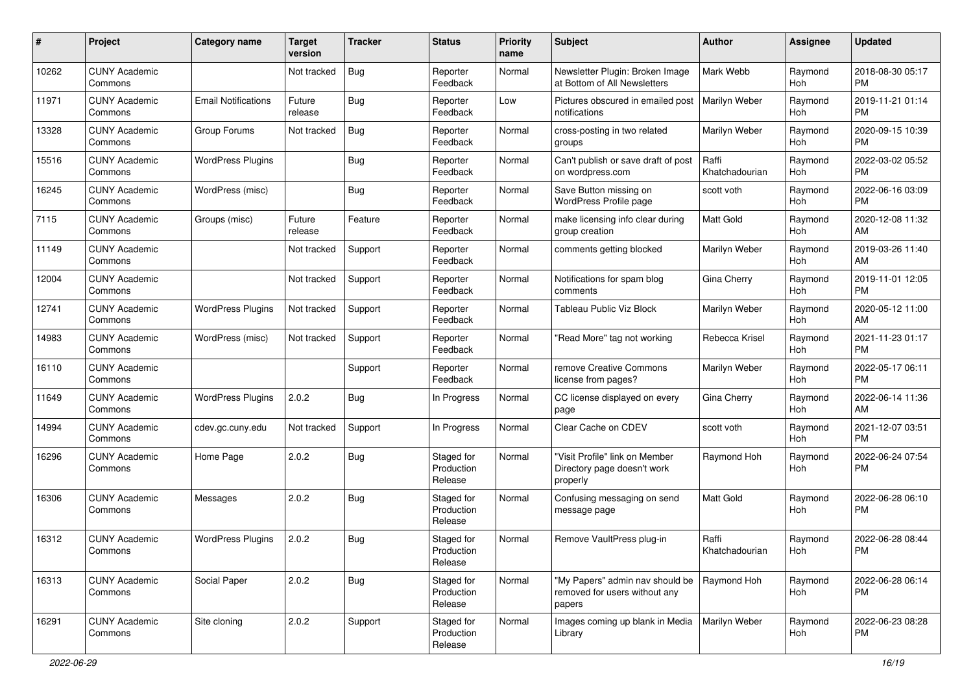| #     | Project                         | <b>Category name</b>       | Target<br>version | <b>Tracker</b> | <b>Status</b>                       | <b>Priority</b><br>name | Subject                                                                    | Author                  | <b>Assignee</b>       | <b>Updated</b>                |
|-------|---------------------------------|----------------------------|-------------------|----------------|-------------------------------------|-------------------------|----------------------------------------------------------------------------|-------------------------|-----------------------|-------------------------------|
| 10262 | <b>CUNY Academic</b><br>Commons |                            | Not tracked       | Bug            | Reporter<br>Feedback                | Normal                  | Newsletter Plugin: Broken Image<br>at Bottom of All Newsletters            | Mark Webb               | Raymond<br><b>Hoh</b> | 2018-08-30 05:17<br><b>PM</b> |
| 11971 | <b>CUNY Academic</b><br>Commons | <b>Email Notifications</b> | Future<br>release | <b>Bug</b>     | Reporter<br>Feedback                | Low                     | Pictures obscured in emailed post<br>notifications                         | Marilyn Weber           | Raymond<br>Hoh        | 2019-11-21 01:14<br><b>PM</b> |
| 13328 | <b>CUNY Academic</b><br>Commons | Group Forums               | Not tracked       | <b>Bug</b>     | Reporter<br>Feedback                | Normal                  | cross-posting in two related<br>groups                                     | Marilyn Weber           | Raymond<br>Hoh        | 2020-09-15 10:39<br><b>PM</b> |
| 15516 | <b>CUNY Academic</b><br>Commons | <b>WordPress Plugins</b>   |                   | Bug            | Reporter<br>Feedback                | Normal                  | Can't publish or save draft of post<br>on wordpress.com                    | Raffi<br>Khatchadourian | Raymond<br>Hoh        | 2022-03-02 05:52<br><b>PM</b> |
| 16245 | <b>CUNY Academic</b><br>Commons | WordPress (misc)           |                   | <b>Bug</b>     | Reporter<br>Feedback                | Normal                  | Save Button missing on<br>WordPress Profile page                           | scott voth              | Raymond<br>Hoh        | 2022-06-16 03:09<br><b>PM</b> |
| 7115  | <b>CUNY Academic</b><br>Commons | Groups (misc)              | Future<br>release | Feature        | Reporter<br>Feedback                | Normal                  | make licensing info clear during<br>group creation                         | <b>Matt Gold</b>        | Raymond<br>Hoh        | 2020-12-08 11:32<br>AM        |
| 11149 | <b>CUNY Academic</b><br>Commons |                            | Not tracked       | Support        | Reporter<br>Feedback                | Normal                  | comments getting blocked                                                   | Marilyn Weber           | Raymond<br><b>Hoh</b> | 2019-03-26 11:40<br>AM        |
| 12004 | <b>CUNY Academic</b><br>Commons |                            | Not tracked       | Support        | Reporter<br>Feedback                | Normal                  | Notifications for spam blog<br>comments                                    | Gina Cherry             | Raymond<br>Hoh        | 2019-11-01 12:05<br><b>PM</b> |
| 12741 | <b>CUNY Academic</b><br>Commons | <b>WordPress Plugins</b>   | Not tracked       | Support        | Reporter<br>Feedback                | Normal                  | <b>Tableau Public Viz Block</b>                                            | Marilyn Weber           | Raymond<br><b>Hoh</b> | 2020-05-12 11:00<br>AM        |
| 14983 | <b>CUNY Academic</b><br>Commons | WordPress (misc)           | Not tracked       | Support        | Reporter<br>Feedback                | Normal                  | 'Read More" tag not working                                                | Rebecca Krisel          | Raymond<br>Hoh        | 2021-11-23 01:17<br><b>PM</b> |
| 16110 | <b>CUNY Academic</b><br>Commons |                            |                   | Support        | Reporter<br>Feedback                | Normal                  | remove Creative Commons<br>license from pages?                             | Marilyn Weber           | Raymond<br>Hoh        | 2022-05-17 06:11<br><b>PM</b> |
| 11649 | <b>CUNY Academic</b><br>Commons | <b>WordPress Plugins</b>   | 2.0.2             | <b>Bug</b>     | In Progress                         | Normal                  | CC license displayed on every<br>page                                      | Gina Cherry             | Raymond<br>Hoh        | 2022-06-14 11:36<br>AM        |
| 14994 | <b>CUNY Academic</b><br>Commons | cdev.gc.cuny.edu           | Not tracked       | Support        | In Progress                         | Normal                  | Clear Cache on CDEV                                                        | scott voth              | Raymond<br>Hoh        | 2021-12-07 03:51<br><b>PM</b> |
| 16296 | <b>CUNY Academic</b><br>Commons | Home Page                  | 2.0.2             | <b>Bug</b>     | Staged for<br>Production<br>Release | Normal                  | "Visit Profile" link on Member<br>Directory page doesn't work<br>properly  | Raymond Hoh             | Raymond<br>Hoh        | 2022-06-24 07:54<br><b>PM</b> |
| 16306 | <b>CUNY Academic</b><br>Commons | Messages                   | 2.0.2             | <b>Bug</b>     | Staged for<br>Production<br>Release | Normal                  | Confusing messaging on send<br>message page                                | Matt Gold               | Raymond<br>Hoh        | 2022-06-28 06:10<br><b>PM</b> |
| 16312 | <b>CUNY Academic</b><br>Commons | <b>WordPress Plugins</b>   | 2.0.2             | Bug            | Staged for<br>Production<br>Release | Normal                  | Remove VaultPress plug-in                                                  | Raffi<br>Khatchadourian | Raymond<br>$ $ Hoh    | 2022-06-28 08:44<br>PM        |
| 16313 | <b>CUNY Academic</b><br>Commons | Social Paper               | 2.0.2             | Bug            | Staged for<br>Production<br>Release | Normal                  | "My Papers" admin nav should be<br>removed for users without any<br>papers | Raymond Hoh             | Raymond<br>Hoh        | 2022-06-28 06:14<br><b>PM</b> |
| 16291 | <b>CUNY Academic</b><br>Commons | Site cloning               | 2.0.2             | Support        | Staged for<br>Production<br>Release | Normal                  | Images coming up blank in Media<br>Library                                 | Marilyn Weber           | Raymond<br>Hoh        | 2022-06-23 08:28<br>PM        |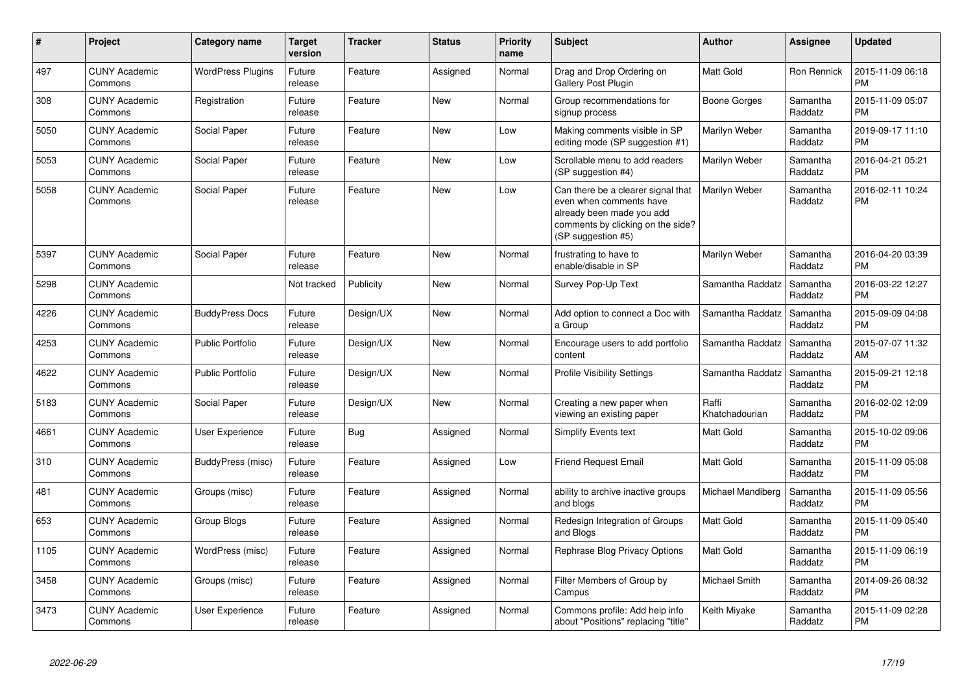| #    | Project                         | <b>Category name</b>     | <b>Target</b><br>version | <b>Tracker</b> | <b>Status</b> | <b>Priority</b><br>name | <b>Subject</b>                                                                                                                                        | <b>Author</b>           | <b>Assignee</b>     | <b>Updated</b>                |
|------|---------------------------------|--------------------------|--------------------------|----------------|---------------|-------------------------|-------------------------------------------------------------------------------------------------------------------------------------------------------|-------------------------|---------------------|-------------------------------|
| 497  | <b>CUNY Academic</b><br>Commons | <b>WordPress Plugins</b> | Future<br>release        | Feature        | Assigned      | Normal                  | Drag and Drop Ordering on<br>Gallery Post Plugin                                                                                                      | Matt Gold               | Ron Rennick         | 2015-11-09 06:18<br><b>PM</b> |
| 308  | <b>CUNY Academic</b><br>Commons | Registration             | Future<br>release        | Feature        | <b>New</b>    | Normal                  | Group recommendations for<br>signup process                                                                                                           | Boone Gorges            | Samantha<br>Raddatz | 2015-11-09 05:07<br><b>PM</b> |
| 5050 | <b>CUNY Academic</b><br>Commons | Social Paper             | Future<br>release        | Feature        | New           | Low                     | Making comments visible in SP<br>editing mode (SP suggestion #1)                                                                                      | Marilyn Weber           | Samantha<br>Raddatz | 2019-09-17 11:10<br><b>PM</b> |
| 5053 | <b>CUNY Academic</b><br>Commons | Social Paper             | Future<br>release        | Feature        | <b>New</b>    | Low                     | Scrollable menu to add readers<br>(SP suggestion #4)                                                                                                  | Marilyn Weber           | Samantha<br>Raddatz | 2016-04-21 05:21<br>PM        |
| 5058 | <b>CUNY Academic</b><br>Commons | Social Paper             | Future<br>release        | Feature        | New           | Low                     | Can there be a clearer signal that<br>even when comments have<br>already been made you add<br>comments by clicking on the side?<br>(SP suggestion #5) | Marilyn Weber           | Samantha<br>Raddatz | 2016-02-11 10:24<br>PM        |
| 5397 | <b>CUNY Academic</b><br>Commons | Social Paper             | Future<br>release        | Feature        | New           | Normal                  | frustrating to have to<br>enable/disable in SP                                                                                                        | Marilyn Weber           | Samantha<br>Raddatz | 2016-04-20 03:39<br><b>PM</b> |
| 5298 | <b>CUNY Academic</b><br>Commons |                          | Not tracked              | Publicity      | New           | Normal                  | Survey Pop-Up Text                                                                                                                                    | Samantha Raddatz        | Samantha<br>Raddatz | 2016-03-22 12:27<br>PM        |
| 4226 | <b>CUNY Academic</b><br>Commons | <b>BuddyPress Docs</b>   | Future<br>release        | Design/UX      | New           | Normal                  | Add option to connect a Doc with<br>a Group                                                                                                           | Samantha Raddatz        | Samantha<br>Raddatz | 2015-09-09 04:08<br>PM        |
| 4253 | <b>CUNY Academic</b><br>Commons | <b>Public Portfolio</b>  | Future<br>release        | Design/UX      | New           | Normal                  | Encourage users to add portfolio<br>content                                                                                                           | Samantha Raddatz        | Samantha<br>Raddatz | 2015-07-07 11:32<br>AM        |
| 4622 | <b>CUNY Academic</b><br>Commons | <b>Public Portfolio</b>  | Future<br>release        | Design/UX      | New           | Normal                  | <b>Profile Visibility Settings</b>                                                                                                                    | Samantha Raddatz        | Samantha<br>Raddatz | 2015-09-21 12:18<br><b>PM</b> |
| 5183 | <b>CUNY Academic</b><br>Commons | Social Paper             | Future<br>release        | Design/UX      | <b>New</b>    | Normal                  | Creating a new paper when<br>viewing an existing paper                                                                                                | Raffi<br>Khatchadourian | Samantha<br>Raddatz | 2016-02-02 12:09<br><b>PM</b> |
| 4661 | <b>CUNY Academic</b><br>Commons | User Experience          | Future<br>release        | <b>Bug</b>     | Assigned      | Normal                  | Simplify Events text                                                                                                                                  | Matt Gold               | Samantha<br>Raddatz | 2015-10-02 09:06<br><b>PM</b> |
| 310  | <b>CUNY Academic</b><br>Commons | BuddyPress (misc)        | Future<br>release        | Feature        | Assigned      | Low                     | Friend Request Email                                                                                                                                  | Matt Gold               | Samantha<br>Raddatz | 2015-11-09 05:08<br><b>PM</b> |
| 481  | <b>CUNY Academic</b><br>Commons | Groups (misc)            | Future<br>release        | Feature        | Assigned      | Normal                  | ability to archive inactive groups<br>and blogs                                                                                                       | Michael Mandiberg       | Samantha<br>Raddatz | 2015-11-09 05:56<br>PM        |
| 653  | <b>CUNY Academic</b><br>Commons | Group Blogs              | Future<br>release        | Feature        | Assigned      | Normal                  | Redesign Integration of Groups<br>and Blogs                                                                                                           | Matt Gold               | Samantha<br>Raddatz | 2015-11-09 05:40<br><b>PM</b> |
| 1105 | <b>CUNY Academic</b><br>Commons | WordPress (misc)         | Future<br>release        | Feature        | Assigned      | Normal                  | Rephrase Blog Privacy Options                                                                                                                         | Matt Gold               | Samantha<br>Raddatz | 2015-11-09 06:19<br><b>PM</b> |
| 3458 | <b>CUNY Academic</b><br>Commons | Groups (misc)            | Future<br>release        | Feature        | Assigned      | Normal                  | Filter Members of Group by<br>Campus                                                                                                                  | <b>Michael Smith</b>    | Samantha<br>Raddatz | 2014-09-26 08:32<br><b>PM</b> |
| 3473 | <b>CUNY Academic</b><br>Commons | <b>User Experience</b>   | Future<br>release        | Feature        | Assigned      | Normal                  | Commons profile: Add help info<br>about "Positions" replacing "title"                                                                                 | Keith Miyake            | Samantha<br>Raddatz | 2015-11-09 02:28<br><b>PM</b> |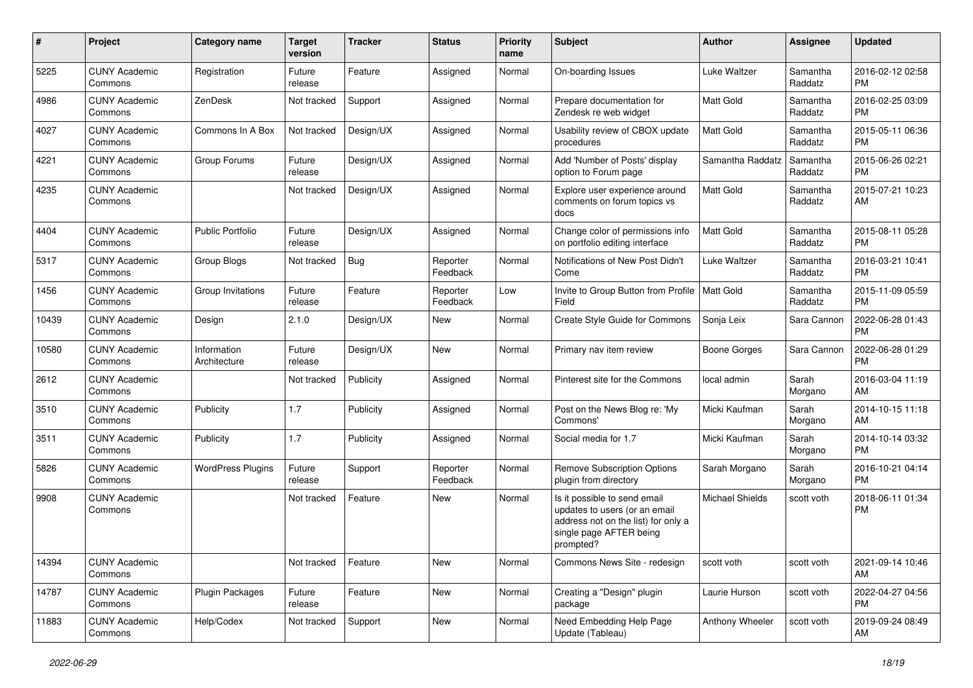| #     | Project                         | Category name               | <b>Target</b><br>version | <b>Tracker</b> | <b>Status</b>        | <b>Priority</b><br>name | Subject                                                                                                                                      | <b>Author</b>          | <b>Assignee</b>     | <b>Updated</b>                |
|-------|---------------------------------|-----------------------------|--------------------------|----------------|----------------------|-------------------------|----------------------------------------------------------------------------------------------------------------------------------------------|------------------------|---------------------|-------------------------------|
| 5225  | <b>CUNY Academic</b><br>Commons | Registration                | Future<br>release        | Feature        | Assigned             | Normal                  | On-boarding Issues                                                                                                                           | <b>Luke Waltzer</b>    | Samantha<br>Raddatz | 2016-02-12 02:58<br><b>PM</b> |
| 4986  | <b>CUNY Academic</b><br>Commons | ZenDesk                     | Not tracked              | Support        | Assigned             | Normal                  | Prepare documentation for<br>Zendesk re web widget                                                                                           | <b>Matt Gold</b>       | Samantha<br>Raddatz | 2016-02-25 03:09<br><b>PM</b> |
| 4027  | <b>CUNY Academic</b><br>Commons | Commons In A Box            | Not tracked              | Design/UX      | Assigned             | Normal                  | Usability review of CBOX update<br>procedures                                                                                                | <b>Matt Gold</b>       | Samantha<br>Raddatz | 2015-05-11 06:36<br><b>PM</b> |
| 4221  | <b>CUNY Academic</b><br>Commons | Group Forums                | Future<br>release        | Design/UX      | Assigned             | Normal                  | Add 'Number of Posts' display<br>option to Forum page                                                                                        | Samantha Raddatz       | Samantha<br>Raddatz | 2015-06-26 02:21<br><b>PM</b> |
| 4235  | <b>CUNY Academic</b><br>Commons |                             | Not tracked              | Design/UX      | Assigned             | Normal                  | Explore user experience around<br>comments on forum topics vs<br>docs                                                                        | <b>Matt Gold</b>       | Samantha<br>Raddatz | 2015-07-21 10:23<br>AM        |
| 4404  | <b>CUNY Academic</b><br>Commons | <b>Public Portfolio</b>     | Future<br>release        | Design/UX      | Assigned             | Normal                  | Change color of permissions info<br>on portfolio editing interface                                                                           | <b>Matt Gold</b>       | Samantha<br>Raddatz | 2015-08-11 05:28<br><b>PM</b> |
| 5317  | <b>CUNY Academic</b><br>Commons | <b>Group Blogs</b>          | Not tracked              | Bug            | Reporter<br>Feedback | Normal                  | Notifications of New Post Didn't<br>Come                                                                                                     | <b>Luke Waltzer</b>    | Samantha<br>Raddatz | 2016-03-21 10:41<br><b>PM</b> |
| 1456  | <b>CUNY Academic</b><br>Commons | Group Invitations           | Future<br>release        | Feature        | Reporter<br>Feedback | Low                     | Invite to Group Button from Profile  <br>Field                                                                                               | <b>Matt Gold</b>       | Samantha<br>Raddatz | 2015-11-09 05:59<br><b>PM</b> |
| 10439 | <b>CUNY Academic</b><br>Commons | Design                      | 2.1.0                    | Design/UX      | New                  | Normal                  | Create Style Guide for Commons                                                                                                               | Sonja Leix             | Sara Cannon         | 2022-06-28 01:43<br>PM        |
| 10580 | <b>CUNY Academic</b><br>Commons | Information<br>Architecture | Future<br>release        | Design/UX      | New                  | Normal                  | Primary nav item review                                                                                                                      | <b>Boone Gorges</b>    | Sara Cannon         | 2022-06-28 01:29<br><b>PM</b> |
| 2612  | <b>CUNY Academic</b><br>Commons |                             | Not tracked              | Publicity      | Assigned             | Normal                  | Pinterest site for the Commons                                                                                                               | local admin            | Sarah<br>Morgano    | 2016-03-04 11:19<br>AM        |
| 3510  | <b>CUNY Academic</b><br>Commons | Publicity                   | 1.7                      | Publicity      | Assigned             | Normal                  | Post on the News Blog re: 'My<br>Commons'                                                                                                    | Micki Kaufman          | Sarah<br>Morgano    | 2014-10-15 11:18<br>AM        |
| 3511  | <b>CUNY Academic</b><br>Commons | Publicity                   | 1.7                      | Publicity      | Assigned             | Normal                  | Social media for 1.7                                                                                                                         | Micki Kaufman          | Sarah<br>Morgano    | 2014-10-14 03:32<br><b>PM</b> |
| 5826  | <b>CUNY Academic</b><br>Commons | <b>WordPress Plugins</b>    | Future<br>release        | Support        | Reporter<br>Feedback | Normal                  | <b>Remove Subscription Options</b><br>plugin from directory                                                                                  | Sarah Morgano          | Sarah<br>Morgano    | 2016-10-21 04:14<br><b>PM</b> |
| 9908  | <b>CUNY Academic</b><br>Commons |                             | Not tracked              | Feature        | New                  | Normal                  | Is it possible to send email<br>updates to users (or an email<br>address not on the list) for only a<br>single page AFTER being<br>prompted? | <b>Michael Shields</b> | scott voth          | 2018-06-11 01:34<br><b>PM</b> |
| 14394 | <b>CUNY Academic</b><br>Commons |                             | Not tracked              | Feature        | New                  | Normal                  | Commons News Site - redesign                                                                                                                 | scott voth             | scott voth          | 2021-09-14 10:46<br>AM        |
| 14787 | <b>CUNY Academic</b><br>Commons | Plugin Packages             | Future<br>release        | Feature        | New                  | Normal                  | Creating a "Design" plugin<br>package                                                                                                        | Laurie Hurson          | scott voth          | 2022-04-27 04:56<br><b>PM</b> |
| 11883 | <b>CUNY Academic</b><br>Commons | Help/Codex                  | Not tracked              | Support        | New                  | Normal                  | Need Embedding Help Page<br>Update (Tableau)                                                                                                 | Anthony Wheeler        | scott voth          | 2019-09-24 08:49<br>AM        |